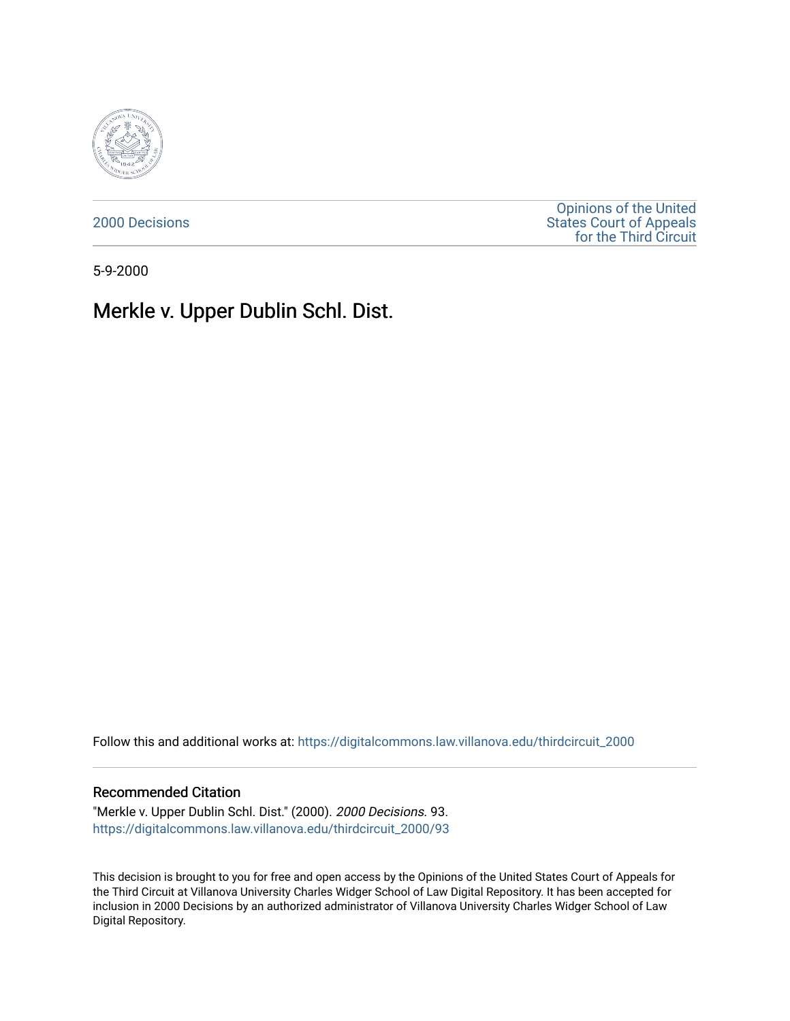

[2000 Decisions](https://digitalcommons.law.villanova.edu/thirdcircuit_2000)

[Opinions of the United](https://digitalcommons.law.villanova.edu/thirdcircuit)  [States Court of Appeals](https://digitalcommons.law.villanova.edu/thirdcircuit)  [for the Third Circuit](https://digitalcommons.law.villanova.edu/thirdcircuit) 

5-9-2000

## Merkle v. Upper Dublin Schl. Dist.

Follow this and additional works at: [https://digitalcommons.law.villanova.edu/thirdcircuit\\_2000](https://digitalcommons.law.villanova.edu/thirdcircuit_2000?utm_source=digitalcommons.law.villanova.edu%2Fthirdcircuit_2000%2F93&utm_medium=PDF&utm_campaign=PDFCoverPages) 

## Recommended Citation

"Merkle v. Upper Dublin Schl. Dist." (2000). 2000 Decisions. 93. [https://digitalcommons.law.villanova.edu/thirdcircuit\\_2000/93](https://digitalcommons.law.villanova.edu/thirdcircuit_2000/93?utm_source=digitalcommons.law.villanova.edu%2Fthirdcircuit_2000%2F93&utm_medium=PDF&utm_campaign=PDFCoverPages)

This decision is brought to you for free and open access by the Opinions of the United States Court of Appeals for the Third Circuit at Villanova University Charles Widger School of Law Digital Repository. It has been accepted for inclusion in 2000 Decisions by an authorized administrator of Villanova University Charles Widger School of Law Digital Repository.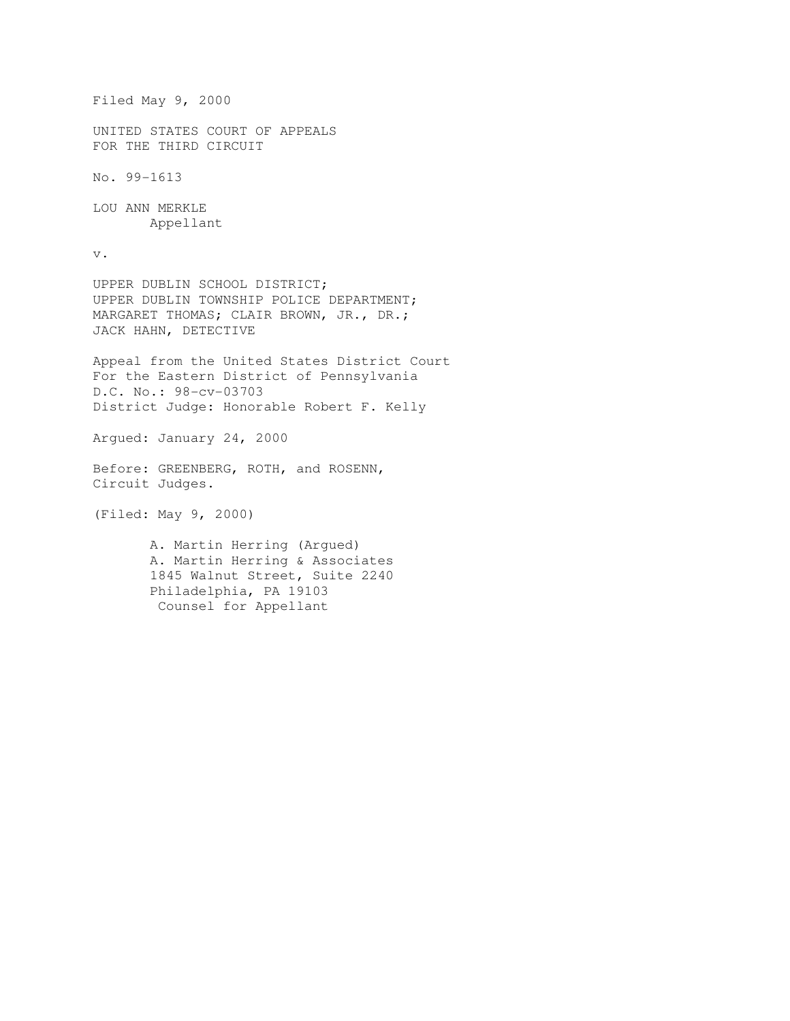```
Filed May 9, 2000 
UNITED STATES COURT OF APPEALS 
FOR THE THIRD CIRCUIT 
No. 99-1613 
LOU ANN MERKLE 
        Appellant 
v. 
UPPER DUBLIN SCHOOL DISTRICT; 
UPPER DUBLIN TOWNSHIP POLICE DEPARTMENT; 
MARGARET THOMAS; CLAIR BROWN, JR., DR.; 
JACK HAHN, DETECTIVE 
Appeal from the United States District Court 
For the Eastern District of Pennsylvania 
D.C. No.: 98-cv-03703 
District Judge: Honorable Robert F. Kelly 
Argued: January 24, 2000 
Before: GREENBERG, ROTH, and ROSENN, 
Circuit Judges. 
(Filed: May 9, 2000) 
        A. Martin Herring (Argued) 
        A. Martin Herring & Associates 
        1845 Walnut Street, Suite 2240 
        Philadelphia, PA 19103 
         Counsel for Appellant
```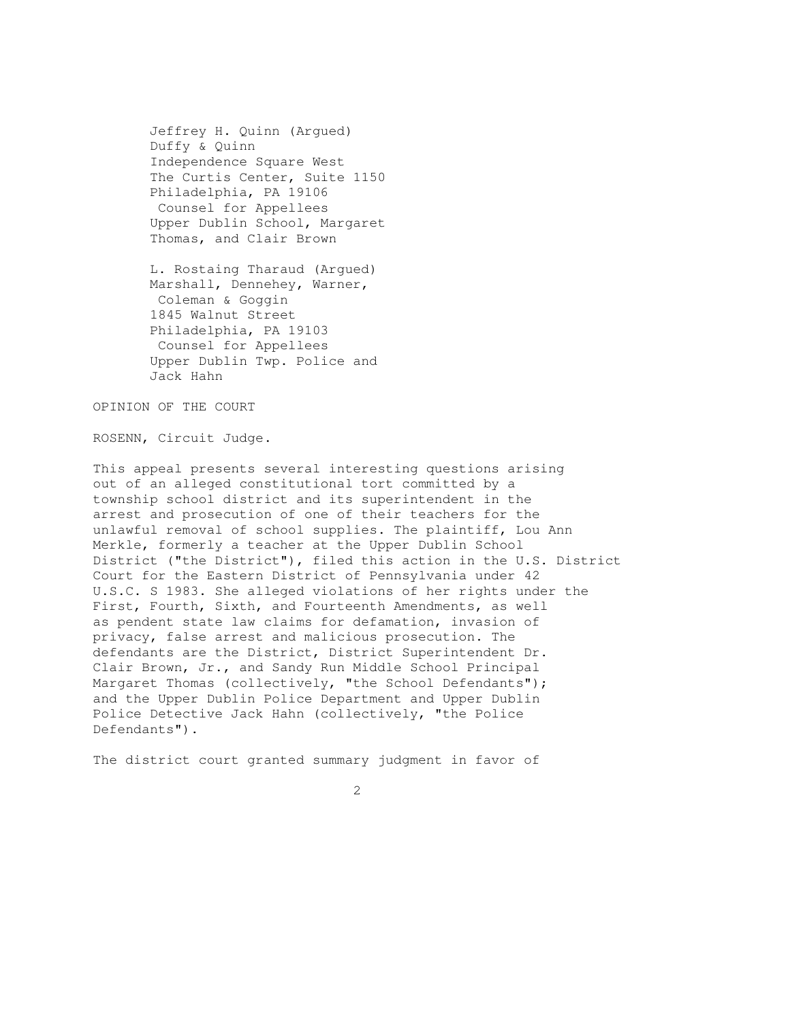Jeffrey H. Quinn (Argued) Duffy & Quinn Independence Square West The Curtis Center, Suite 1150 Philadelphia, PA 19106 Counsel for Appellees Upper Dublin School, Margaret Thomas, and Clair Brown

 L. Rostaing Tharaud (Argued) Marshall, Dennehey, Warner, Coleman & Goggin 1845 Walnut Street Philadelphia, PA 19103 Counsel for Appellees Upper Dublin Twp. Police and Jack Hahn

OPINION OF THE COURT

ROSENN, Circuit Judge.

This appeal presents several interesting questions arising out of an alleged constitutional tort committed by a township school district and its superintendent in the arrest and prosecution of one of their teachers for the unlawful removal of school supplies. The plaintiff, Lou Ann Merkle, formerly a teacher at the Upper Dublin School District ("the District"), filed this action in the U.S. District Court for the Eastern District of Pennsylvania under 42 U.S.C. S 1983. She alleged violations of her rights under the First, Fourth, Sixth, and Fourteenth Amendments, as well as pendent state law claims for defamation, invasion of privacy, false arrest and malicious prosecution. The defendants are the District, District Superintendent Dr. Clair Brown, Jr., and Sandy Run Middle School Principal Margaret Thomas (collectively, "the School Defendants"); and the Upper Dublin Police Department and Upper Dublin Police Detective Jack Hahn (collectively, "the Police Defendants").

The district court granted summary judgment in favor of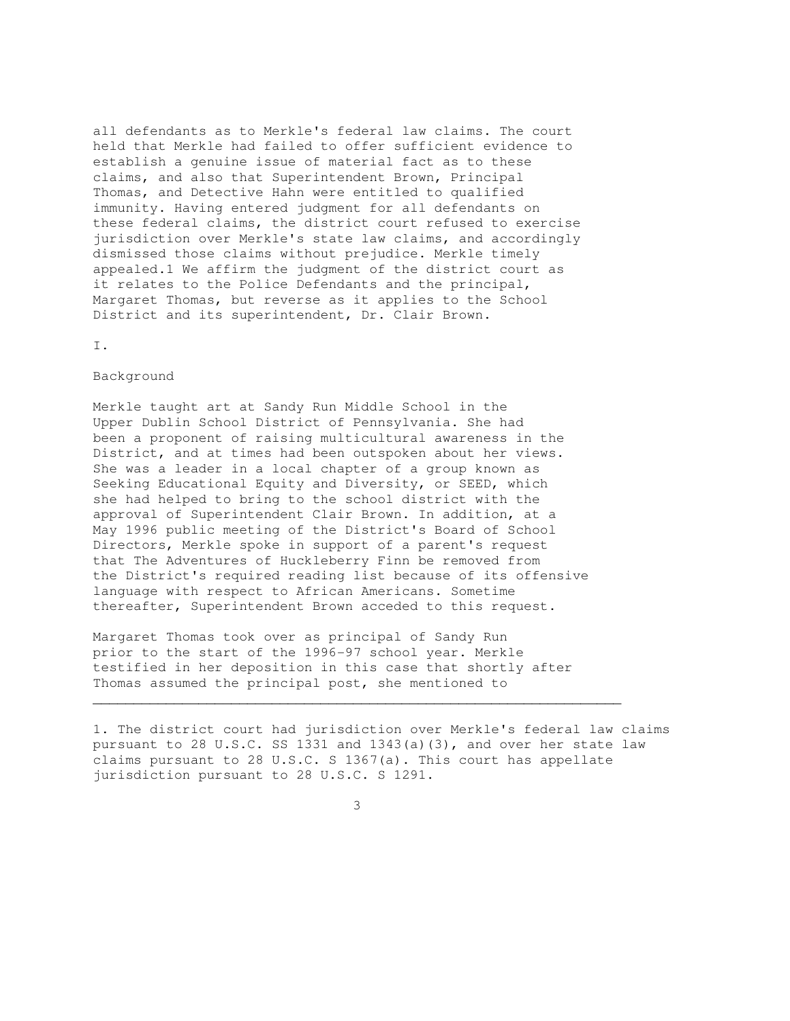all defendants as to Merkle's federal law claims. The court held that Merkle had failed to offer sufficient evidence to establish a genuine issue of material fact as to these claims, and also that Superintendent Brown, Principal Thomas, and Detective Hahn were entitled to qualified immunity. Having entered judgment for all defendants on these federal claims, the district court refused to exercise jurisdiction over Merkle's state law claims, and accordingly dismissed those claims without prejudice. Merkle timely appealed.1 We affirm the judgment of the district court as it relates to the Police Defendants and the principal, Margaret Thomas, but reverse as it applies to the School District and its superintendent, Dr. Clair Brown.

I.

## Background

Merkle taught art at Sandy Run Middle School in the Upper Dublin School District of Pennsylvania. She had been a proponent of raising multicultural awareness in the District, and at times had been outspoken about her views. She was a leader in a local chapter of a group known as Seeking Educational Equity and Diversity, or SEED, which she had helped to bring to the school district with the approval of Superintendent Clair Brown. In addition, at a May 1996 public meeting of the District's Board of School Directors, Merkle spoke in support of a parent's request that The Adventures of Huckleberry Finn be removed from the District's required reading list because of its offensive language with respect to African Americans. Sometime thereafter, Superintendent Brown acceded to this request.

Margaret Thomas took over as principal of Sandy Run prior to the start of the 1996-97 school year. Merkle testified in her deposition in this case that shortly after Thomas assumed the principal post, she mentioned to

1. The district court had jurisdiction over Merkle's federal law claims pursuant to 28 U.S.C. SS 1331 and 1343(a)(3), and over her state law claims pursuant to 28 U.S.C. S 1367(a). This court has appellate jurisdiction pursuant to 28 U.S.C. S 1291.

3

 $\mathcal{L}_\mathcal{L}$  , and the contribution of the contribution of the contribution of the contribution of the contribution of the contribution of the contribution of the contribution of the contribution of the contribution of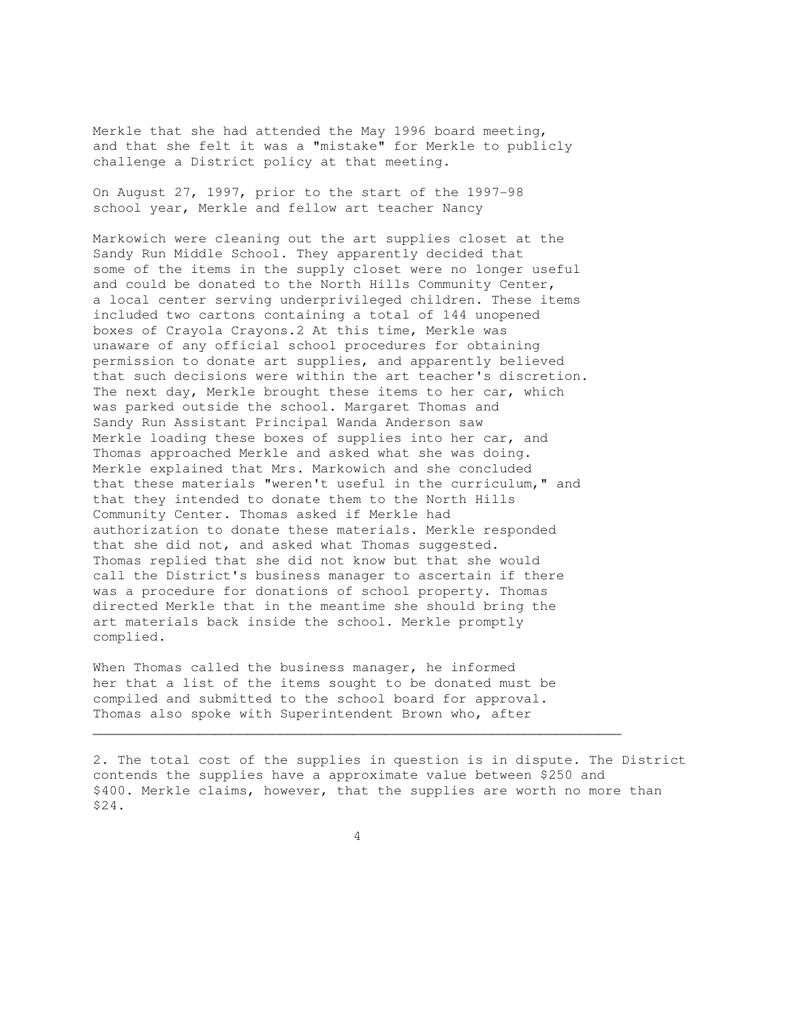Merkle that she had attended the May 1996 board meeting, and that she felt it was a "mistake" for Merkle to publicly challenge a District policy at that meeting.

On August 27, 1997, prior to the start of the 1997-98 school year, Merkle and fellow art teacher Nancy

Markowich were cleaning out the art supplies closet at the Sandy Run Middle School. They apparently decided that some of the items in the supply closet were no longer useful and could be donated to the North Hills Community Center, a local center serving underprivileged children. These items included two cartons containing a total of 144 unopened boxes of Crayola Crayons.2 At this time, Merkle was unaware of any official school procedures for obtaining permission to donate art supplies, and apparently believed that such decisions were within the art teacher's discretion. The next day, Merkle brought these items to her car, which was parked outside the school. Margaret Thomas and Sandy Run Assistant Principal Wanda Anderson saw Merkle loading these boxes of supplies into her car, and Thomas approached Merkle and asked what she was doing. Merkle explained that Mrs. Markowich and she concluded that these materials "weren't useful in the curriculum," and that they intended to donate them to the North Hills Community Center. Thomas asked if Merkle had authorization to donate these materials. Merkle responded that she did not, and asked what Thomas suggested. Thomas replied that she did not know but that she would call the District's business manager to ascertain if there was a procedure for donations of school property. Thomas directed Merkle that in the meantime she should bring the art materials back inside the school. Merkle promptly complied.

When Thomas called the business manager, he informed her that a list of the items sought to be donated must be compiled and submitted to the school board for approval. Thomas also spoke with Superintendent Brown who, after

2. The total cost of the supplies in question is in dispute. The District contends the supplies have a approximate value between \$250 and \$400. Merkle claims, however, that the supplies are worth no more than \$24.

 $\mathcal{L}_\mathcal{L}$  , and the set of the set of the set of the set of the set of the set of the set of the set of the set of the set of the set of the set of the set of the set of the set of the set of the set of the set of th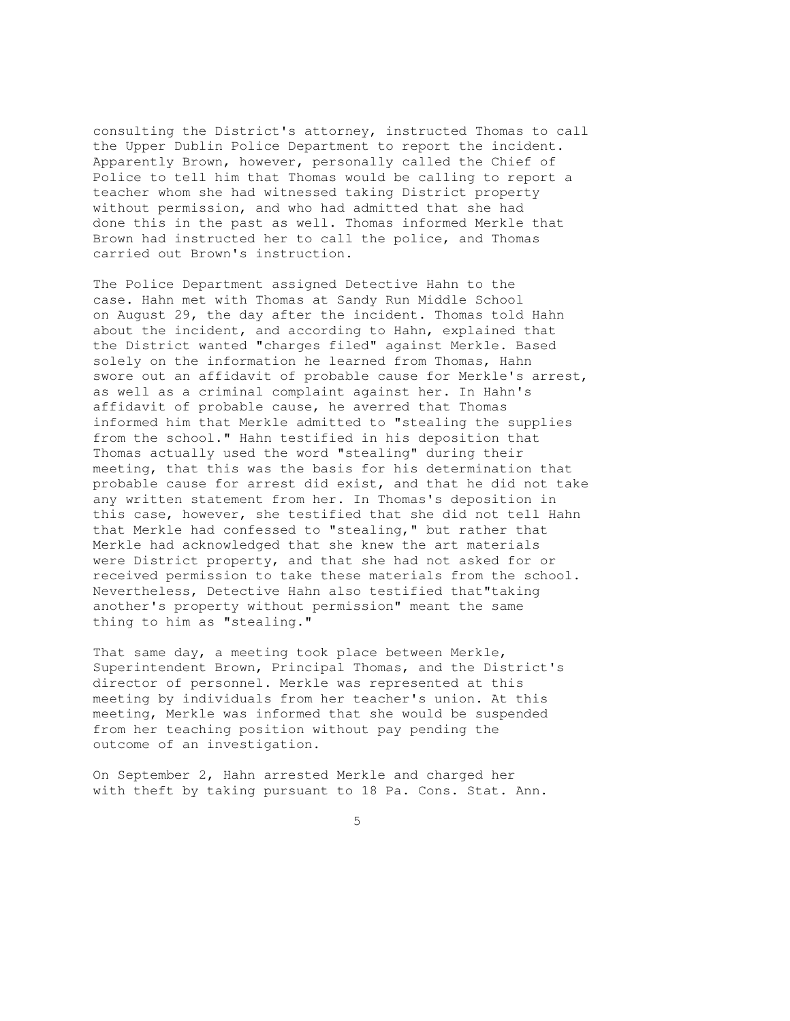consulting the District's attorney, instructed Thomas to call the Upper Dublin Police Department to report the incident. Apparently Brown, however, personally called the Chief of Police to tell him that Thomas would be calling to report a teacher whom she had witnessed taking District property without permission, and who had admitted that she had done this in the past as well. Thomas informed Merkle that Brown had instructed her to call the police, and Thomas carried out Brown's instruction.

The Police Department assigned Detective Hahn to the case. Hahn met with Thomas at Sandy Run Middle School on August 29, the day after the incident. Thomas told Hahn about the incident, and according to Hahn, explained that the District wanted "charges filed" against Merkle. Based solely on the information he learned from Thomas, Hahn swore out an affidavit of probable cause for Merkle's arrest, as well as a criminal complaint against her. In Hahn's affidavit of probable cause, he averred that Thomas informed him that Merkle admitted to "stealing the supplies from the school." Hahn testified in his deposition that Thomas actually used the word "stealing" during their meeting, that this was the basis for his determination that probable cause for arrest did exist, and that he did not take any written statement from her. In Thomas's deposition in this case, however, she testified that she did not tell Hahn that Merkle had confessed to "stealing," but rather that Merkle had acknowledged that she knew the art materials were District property, and that she had not asked for or received permission to take these materials from the school. Nevertheless, Detective Hahn also testified that"taking another's property without permission" meant the same thing to him as "stealing."

That same day, a meeting took place between Merkle, Superintendent Brown, Principal Thomas, and the District's director of personnel. Merkle was represented at this meeting by individuals from her teacher's union. At this meeting, Merkle was informed that she would be suspended from her teaching position without pay pending the outcome of an investigation.

On September 2, Hahn arrested Merkle and charged her with theft by taking pursuant to 18 Pa. Cons. Stat. Ann.

 $\sim$  5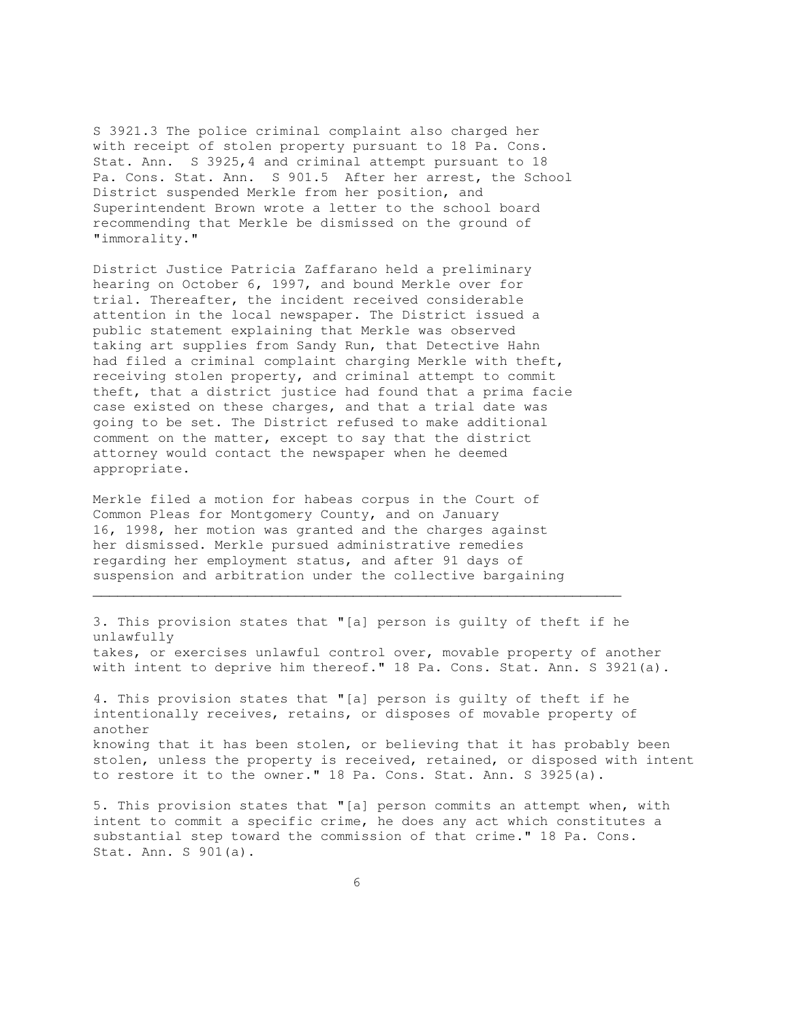S 3921.3 The police criminal complaint also charged her with receipt of stolen property pursuant to 18 Pa. Cons. Stat. Ann. S 3925,4 and criminal attempt pursuant to 18 Pa. Cons. Stat. Ann. S 901.5 After her arrest, the School District suspended Merkle from her position, and Superintendent Brown wrote a letter to the school board recommending that Merkle be dismissed on the ground of "immorality."

District Justice Patricia Zaffarano held a preliminary hearing on October 6, 1997, and bound Merkle over for trial. Thereafter, the incident received considerable attention in the local newspaper. The District issued a public statement explaining that Merkle was observed taking art supplies from Sandy Run, that Detective Hahn had filed a criminal complaint charging Merkle with theft, receiving stolen property, and criminal attempt to commit theft, that a district justice had found that a prima facie case existed on these charges, and that a trial date was going to be set. The District refused to make additional comment on the matter, except to say that the district attorney would contact the newspaper when he deemed appropriate.

Merkle filed a motion for habeas corpus in the Court of Common Pleas for Montgomery County, and on January 16, 1998, her motion was granted and the charges against her dismissed. Merkle pursued administrative remedies regarding her employment status, and after 91 days of suspension and arbitration under the collective bargaining

 $\mathcal{L}_\mathcal{L}$  , and the contribution of the contribution of the contribution of the contribution of the contribution of the contribution of the contribution of the contribution of the contribution of the contribution of

3. This provision states that "[a] person is guilty of theft if he unlawfully takes, or exercises unlawful control over, movable property of another with intent to deprive him thereof." 18 Pa. Cons. Stat. Ann. S 3921(a). 4. This provision states that "[a] person is guilty of theft if he intentionally receives, retains, or disposes of movable property of another knowing that it has been stolen, or believing that it has probably been stolen, unless the property is received, retained, or disposed with intent to restore it to the owner." 18 Pa. Cons. Stat. Ann. S 3925(a).

5. This provision states that "[a] person commits an attempt when, with intent to commit a specific crime, he does any act which constitutes a substantial step toward the commission of that crime." 18 Pa. Cons. Stat. Ann. S 901(a).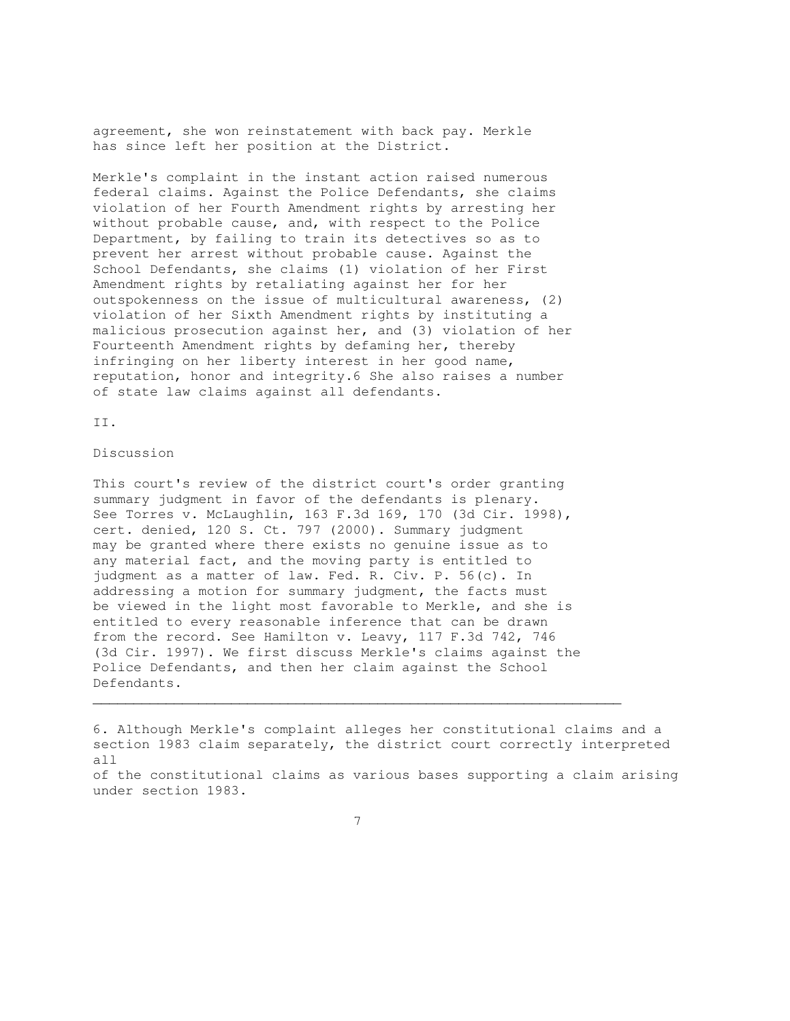agreement, she won reinstatement with back pay. Merkle has since left her position at the District.

Merkle's complaint in the instant action raised numerous federal claims. Against the Police Defendants, she claims violation of her Fourth Amendment rights by arresting her without probable cause, and, with respect to the Police Department, by failing to train its detectives so as to prevent her arrest without probable cause. Against the School Defendants, she claims (1) violation of her First Amendment rights by retaliating against her for her outspokenness on the issue of multicultural awareness, (2) violation of her Sixth Amendment rights by instituting a malicious prosecution against her, and (3) violation of her Fourteenth Amendment rights by defaming her, thereby infringing on her liberty interest in her good name, reputation, honor and integrity.6 She also raises a number of state law claims against all defendants.

II.

Discussion

This court's review of the district court's order granting summary judgment in favor of the defendants is plenary. See Torres v. McLaughlin, 163 F.3d 169, 170 (3d Cir. 1998), cert. denied, 120 S. Ct. 797 (2000). Summary judgment may be granted where there exists no genuine issue as to any material fact, and the moving party is entitled to judgment as a matter of law. Fed. R. Civ. P. 56(c). In addressing a motion for summary judgment, the facts must be viewed in the light most favorable to Merkle, and she is entitled to every reasonable inference that can be drawn from the record. See Hamilton v. Leavy, 117 F.3d 742, 746 (3d Cir. 1997). We first discuss Merkle's claims against the Police Defendants, and then her claim against the School Defendants.

6. Although Merkle's complaint alleges her constitutional claims and a section 1983 claim separately, the district court correctly interpreted all of the constitutional claims as various bases supporting a claim arising under section 1983.

7

 $\mathcal{L}_\mathcal{L}$  , and the set of the set of the set of the set of the set of the set of the set of the set of the set of the set of the set of the set of the set of the set of the set of the set of the set of the set of th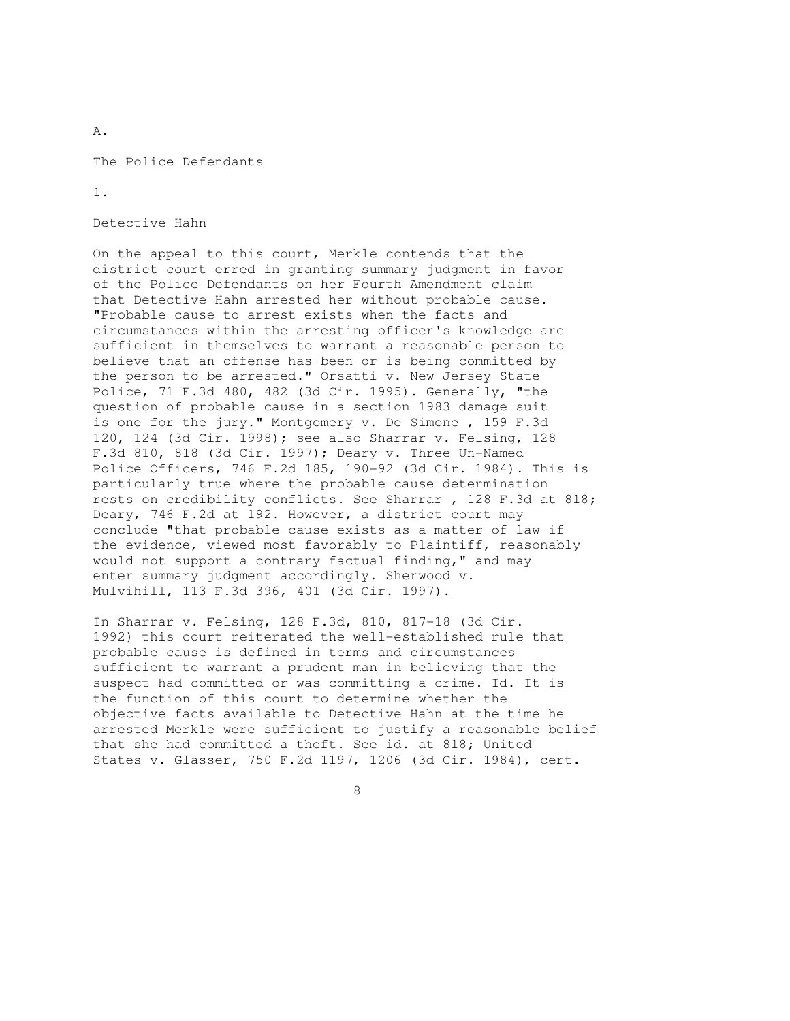The Police Defendants

1.

A.

Detective Hahn

On the appeal to this court, Merkle contends that the district court erred in granting summary judgment in favor of the Police Defendants on her Fourth Amendment claim that Detective Hahn arrested her without probable cause. "Probable cause to arrest exists when the facts and circumstances within the arresting officer's knowledge are sufficient in themselves to warrant a reasonable person to believe that an offense has been or is being committed by the person to be arrested." Orsatti v. New Jersey State Police, 71 F.3d 480, 482 (3d Cir. 1995). Generally, "the question of probable cause in a section 1983 damage suit is one for the jury." Montgomery v. De Simone , 159 F.3d 120, 124 (3d Cir. 1998); see also Sharrar v. Felsing, 128 F.3d 810, 818 (3d Cir. 1997); Deary v. Three Un-Named Police Officers, 746 F.2d 185, 190-92 (3d Cir. 1984). This is particularly true where the probable cause determination rests on credibility conflicts. See Sharrar , 128 F.3d at 818; Deary, 746 F.2d at 192. However, a district court may conclude "that probable cause exists as a matter of law if the evidence, viewed most favorably to Plaintiff, reasonably would not support a contrary factual finding," and may enter summary judgment accordingly. Sherwood v. Mulvihill, 113 F.3d 396, 401 (3d Cir. 1997).

In Sharrar v. Felsing, 128 F.3d, 810, 817-18 (3d Cir. 1992) this court reiterated the well-established rule that probable cause is defined in terms and circumstances sufficient to warrant a prudent man in believing that the suspect had committed or was committing a crime. Id. It is the function of this court to determine whether the objective facts available to Detective Hahn at the time he arrested Merkle were sufficient to justify a reasonable belief that she had committed a theft. See id. at 818; United States v. Glasser, 750 F.2d 1197, 1206 (3d Cir. 1984), cert.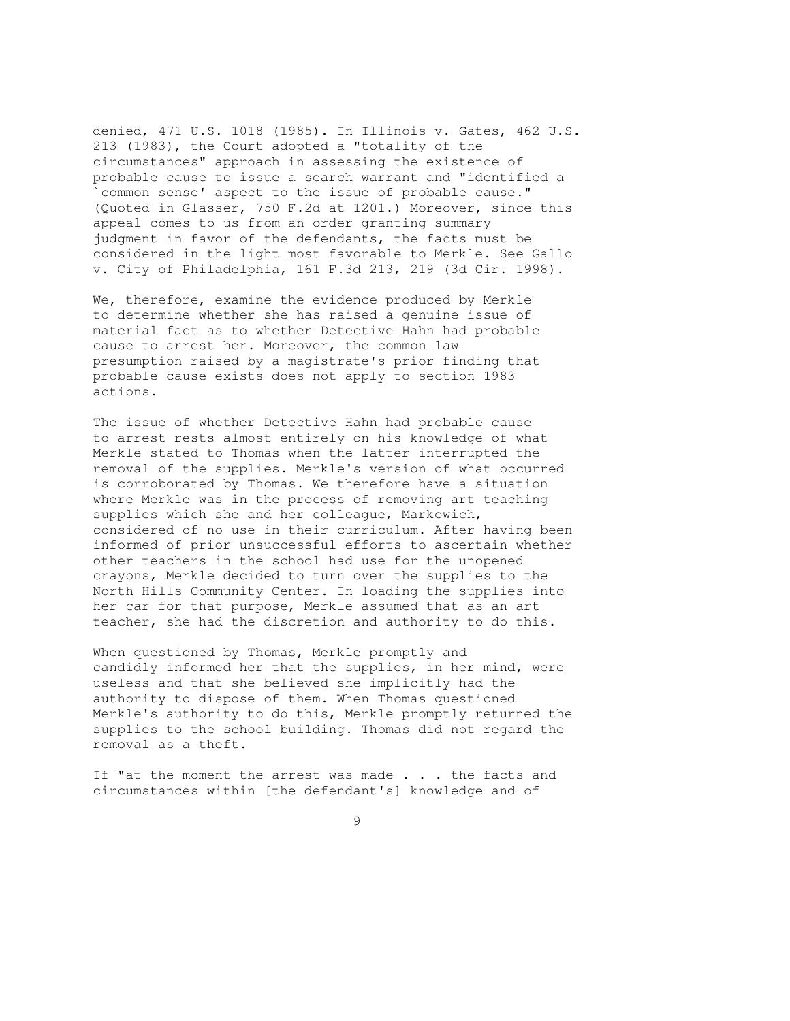denied, 471 U.S. 1018 (1985). In Illinois v. Gates, 462 U.S. 213 (1983), the Court adopted a "totality of the circumstances" approach in assessing the existence of probable cause to issue a search warrant and "identified a `common sense' aspect to the issue of probable cause." (Quoted in Glasser, 750 F.2d at 1201.) Moreover, since this appeal comes to us from an order granting summary judgment in favor of the defendants, the facts must be considered in the light most favorable to Merkle. See Gallo v. City of Philadelphia, 161 F.3d 213, 219 (3d Cir. 1998).

We, therefore, examine the evidence produced by Merkle to determine whether she has raised a genuine issue of material fact as to whether Detective Hahn had probable cause to arrest her. Moreover, the common law presumption raised by a magistrate's prior finding that probable cause exists does not apply to section 1983 actions.

The issue of whether Detective Hahn had probable cause to arrest rests almost entirely on his knowledge of what Merkle stated to Thomas when the latter interrupted the removal of the supplies. Merkle's version of what occurred is corroborated by Thomas. We therefore have a situation where Merkle was in the process of removing art teaching supplies which she and her colleague, Markowich, considered of no use in their curriculum. After having been informed of prior unsuccessful efforts to ascertain whether other teachers in the school had use for the unopened crayons, Merkle decided to turn over the supplies to the North Hills Community Center. In loading the supplies into her car for that purpose, Merkle assumed that as an art teacher, she had the discretion and authority to do this.

When questioned by Thomas, Merkle promptly and candidly informed her that the supplies, in her mind, were useless and that she believed she implicitly had the authority to dispose of them. When Thomas questioned Merkle's authority to do this, Merkle promptly returned the supplies to the school building. Thomas did not regard the removal as a theft.

If "at the moment the arrest was made . . . the facts and circumstances within [the defendant's] knowledge and of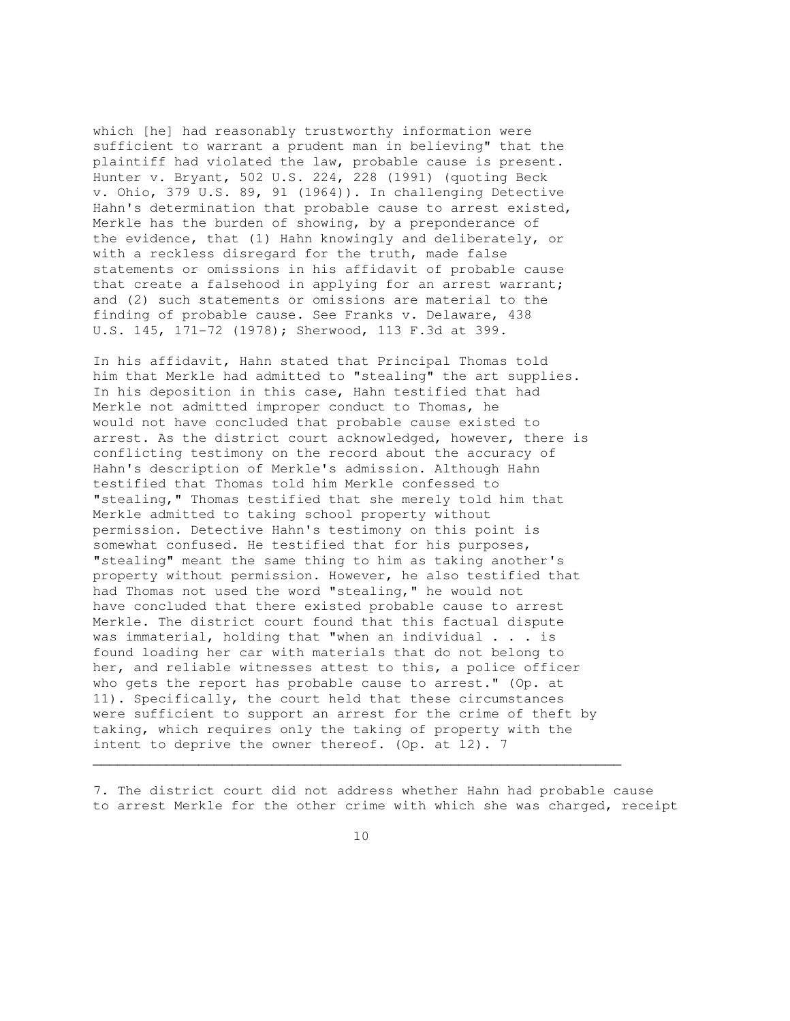which [he] had reasonably trustworthy information were sufficient to warrant a prudent man in believing" that the plaintiff had violated the law, probable cause is present. Hunter v. Bryant, 502 U.S. 224, 228 (1991) (quoting Beck v. Ohio, 379 U.S. 89, 91 (1964)). In challenging Detective Hahn's determination that probable cause to arrest existed, Merkle has the burden of showing, by a preponderance of the evidence, that (1) Hahn knowingly and deliberately, or with a reckless disregard for the truth, made false statements or omissions in his affidavit of probable cause that create a falsehood in applying for an arrest warrant; and (2) such statements or omissions are material to the finding of probable cause. See Franks v. Delaware, 438 U.S. 145, 171-72 (1978); Sherwood, 113 F.3d at 399.

In his affidavit, Hahn stated that Principal Thomas told him that Merkle had admitted to "stealing" the art supplies. In his deposition in this case, Hahn testified that had Merkle not admitted improper conduct to Thomas, he would not have concluded that probable cause existed to arrest. As the district court acknowledged, however, there is conflicting testimony on the record about the accuracy of Hahn's description of Merkle's admission. Although Hahn testified that Thomas told him Merkle confessed to "stealing," Thomas testified that she merely told him that Merkle admitted to taking school property without permission. Detective Hahn's testimony on this point is somewhat confused. He testified that for his purposes, "stealing" meant the same thing to him as taking another's property without permission. However, he also testified that had Thomas not used the word "stealing," he would not have concluded that there existed probable cause to arrest Merkle. The district court found that this factual dispute was immaterial, holding that "when an individual . . . is found loading her car with materials that do not belong to her, and reliable witnesses attest to this, a police officer who gets the report has probable cause to arrest." (Op. at 11). Specifically, the court held that these circumstances were sufficient to support an arrest for the crime of theft by taking, which requires only the taking of property with the intent to deprive the owner thereof. (Op. at 12). 7

7. The district court did not address whether Hahn had probable cause to arrest Merkle for the other crime with which she was charged, receipt

 $\mathcal{L}_\mathcal{L} = \{ \mathcal{L}_\mathcal{L} = \{ \mathcal{L}_\mathcal{L} = \{ \mathcal{L}_\mathcal{L} = \{ \mathcal{L}_\mathcal{L} = \{ \mathcal{L}_\mathcal{L} = \{ \mathcal{L}_\mathcal{L} = \{ \mathcal{L}_\mathcal{L} = \{ \mathcal{L}_\mathcal{L} = \{ \mathcal{L}_\mathcal{L} = \{ \mathcal{L}_\mathcal{L} = \{ \mathcal{L}_\mathcal{L} = \{ \mathcal{L}_\mathcal{L} = \{ \mathcal{L}_\mathcal{L} = \{ \mathcal{L}_\mathcal{$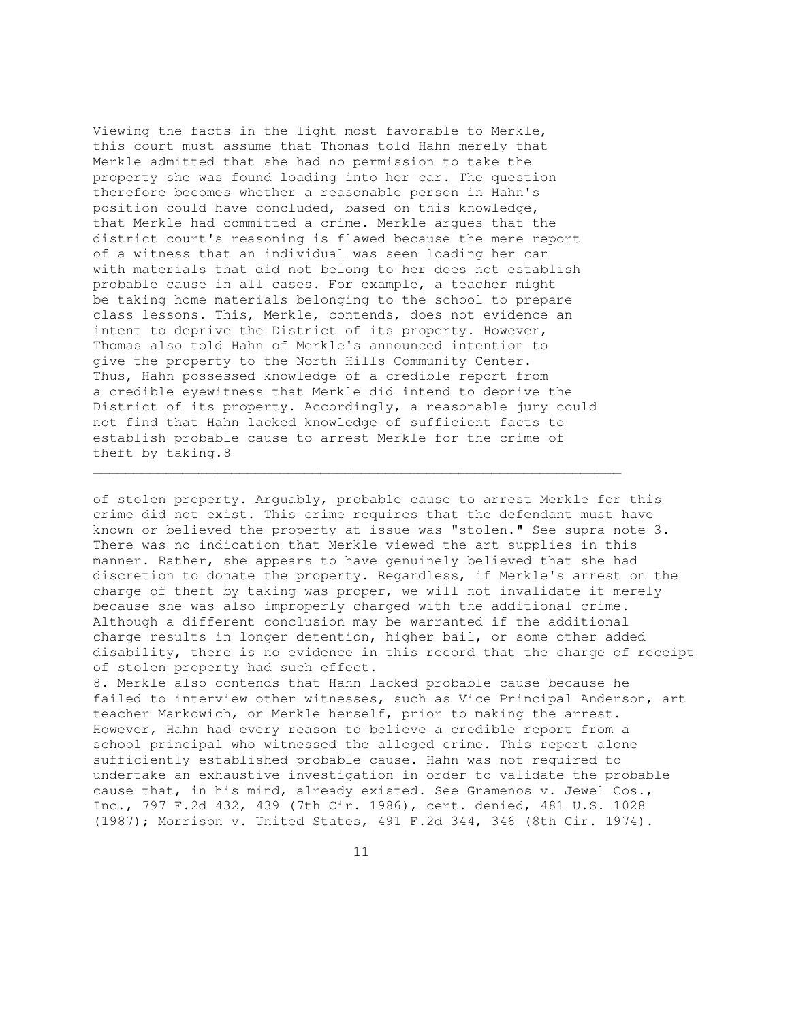Viewing the facts in the light most favorable to Merkle, this court must assume that Thomas told Hahn merely that Merkle admitted that she had no permission to take the property she was found loading into her car. The question therefore becomes whether a reasonable person in Hahn's position could have concluded, based on this knowledge, that Merkle had committed a crime. Merkle argues that the district court's reasoning is flawed because the mere report of a witness that an individual was seen loading her car with materials that did not belong to her does not establish probable cause in all cases. For example, a teacher might be taking home materials belonging to the school to prepare class lessons. This, Merkle, contends, does not evidence an intent to deprive the District of its property. However, Thomas also told Hahn of Merkle's announced intention to give the property to the North Hills Community Center. Thus, Hahn possessed knowledge of a credible report from a credible eyewitness that Merkle did intend to deprive the District of its property. Accordingly, a reasonable jury could not find that Hahn lacked knowledge of sufficient facts to establish probable cause to arrest Merkle for the crime of theft by taking.8

 $\mathcal{L}_\mathcal{L}$  , and the set of the set of the set of the set of the set of the set of the set of the set of the set of the set of the set of the set of the set of the set of the set of the set of the set of the set of th

of stolen property. Arguably, probable cause to arrest Merkle for this crime did not exist. This crime requires that the defendant must have known or believed the property at issue was "stolen." See supra note 3. There was no indication that Merkle viewed the art supplies in this manner. Rather, she appears to have genuinely believed that she had discretion to donate the property. Regardless, if Merkle's arrest on the charge of theft by taking was proper, we will not invalidate it merely because she was also improperly charged with the additional crime. Although a different conclusion may be warranted if the additional charge results in longer detention, higher bail, or some other added disability, there is no evidence in this record that the charge of receipt of stolen property had such effect.

8. Merkle also contends that Hahn lacked probable cause because he failed to interview other witnesses, such as Vice Principal Anderson, art teacher Markowich, or Merkle herself, prior to making the arrest. However, Hahn had every reason to believe a credible report from a school principal who witnessed the alleged crime. This report alone sufficiently established probable cause. Hahn was not required to undertake an exhaustive investigation in order to validate the probable cause that, in his mind, already existed. See Gramenos v. Jewel Cos., Inc., 797 F.2d 432, 439 (7th Cir. 1986), cert. denied, 481 U.S. 1028 (1987); Morrison v. United States, 491 F.2d 344, 346 (8th Cir. 1974).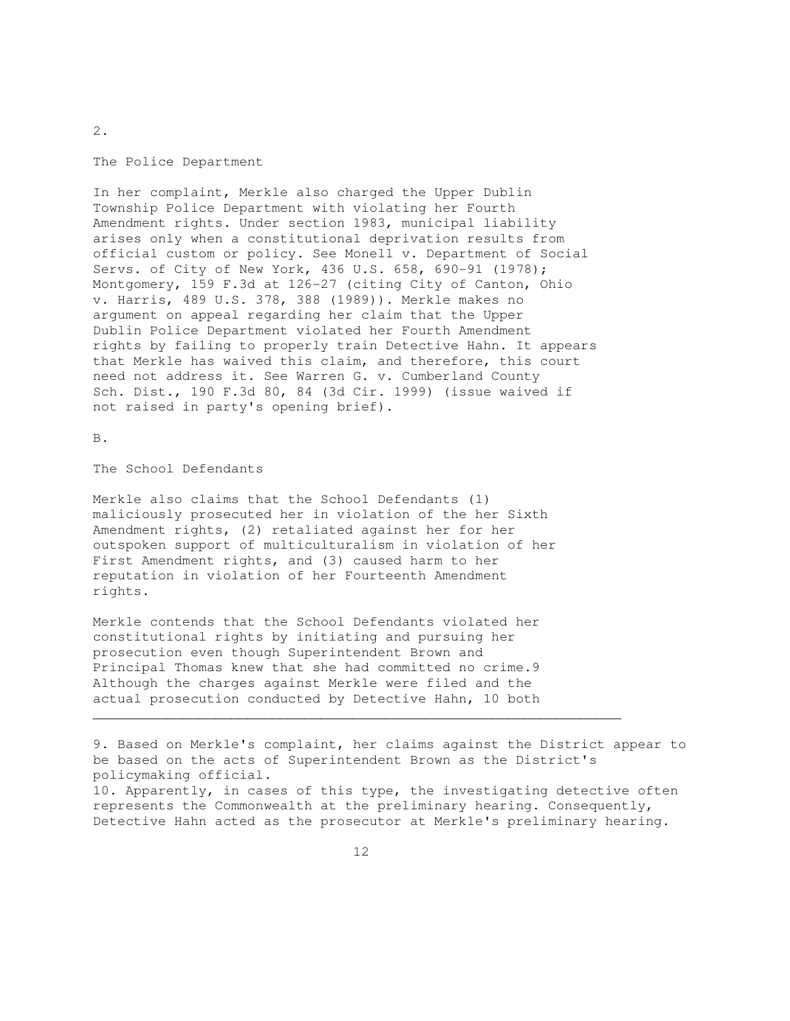The Police Department

In her complaint, Merkle also charged the Upper Dublin Township Police Department with violating her Fourth Amendment rights. Under section 1983, municipal liability arises only when a constitutional deprivation results from official custom or policy. See Monell v. Department of Social Servs. of City of New York, 436 U.S. 658, 690-91 (1978); Montgomery, 159 F.3d at 126-27 (citing City of Canton, Ohio v. Harris, 489 U.S. 378, 388 (1989)). Merkle makes no argument on appeal regarding her claim that the Upper Dublin Police Department violated her Fourth Amendment rights by failing to properly train Detective Hahn. It appears that Merkle has waived this claim, and therefore, this court need not address it. See Warren G. v. Cumberland County Sch. Dist., 190 F.3d 80, 84 (3d Cir. 1999) (issue waived if not raised in party's opening brief).

B.

The School Defendants

Merkle also claims that the School Defendants (1) maliciously prosecuted her in violation of the her Sixth Amendment rights, (2) retaliated against her for her outspoken support of multiculturalism in violation of her First Amendment rights, and (3) caused harm to her reputation in violation of her Fourteenth Amendment rights.

Merkle contends that the School Defendants violated her constitutional rights by initiating and pursuing her prosecution even though Superintendent Brown and Principal Thomas knew that she had committed no crime.9 Although the charges against Merkle were filed and the actual prosecution conducted by Detective Hahn, 10 both

9. Based on Merkle's complaint, her claims against the District appear to be based on the acts of Superintendent Brown as the District's policymaking official. 10. Apparently, in cases of this type, the investigating detective often

represents the Commonwealth at the preliminary hearing. Consequently, Detective Hahn acted as the prosecutor at Merkle's preliminary hearing.

 $\mathcal{L}_\mathcal{L} = \{ \mathcal{L}_\mathcal{L} = \{ \mathcal{L}_\mathcal{L} = \{ \mathcal{L}_\mathcal{L} = \{ \mathcal{L}_\mathcal{L} = \{ \mathcal{L}_\mathcal{L} = \{ \mathcal{L}_\mathcal{L} = \{ \mathcal{L}_\mathcal{L} = \{ \mathcal{L}_\mathcal{L} = \{ \mathcal{L}_\mathcal{L} = \{ \mathcal{L}_\mathcal{L} = \{ \mathcal{L}_\mathcal{L} = \{ \mathcal{L}_\mathcal{L} = \{ \mathcal{L}_\mathcal{L} = \{ \mathcal{L}_\mathcal{$ 

2.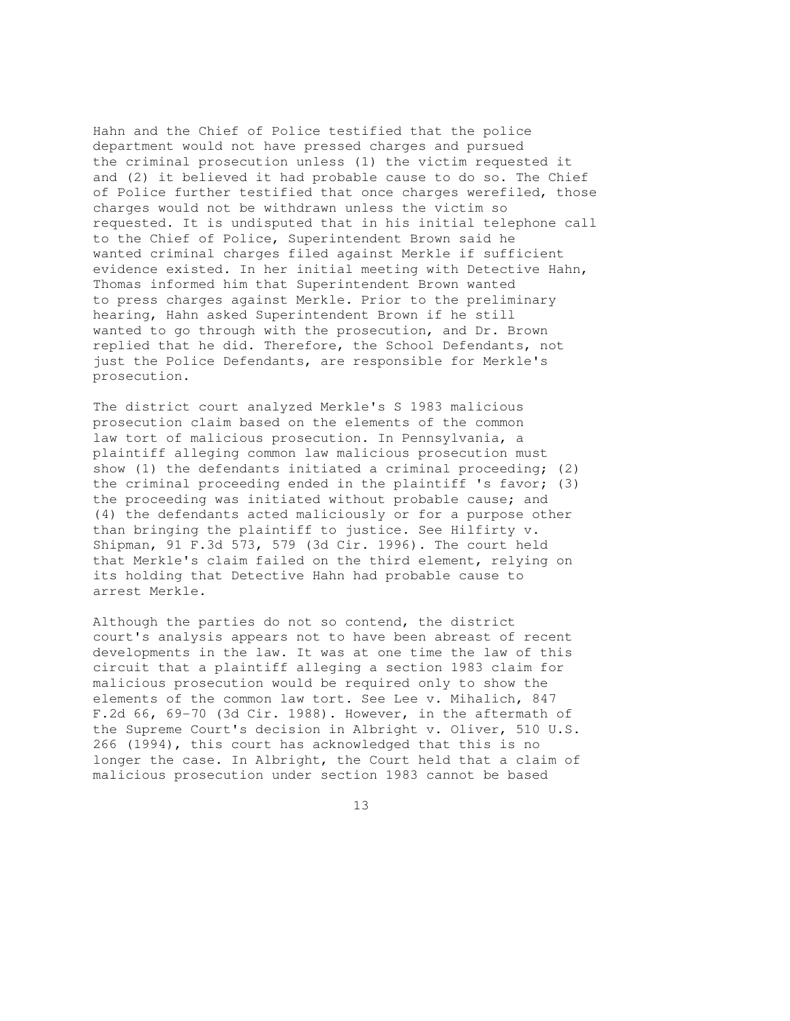Hahn and the Chief of Police testified that the police department would not have pressed charges and pursued the criminal prosecution unless (1) the victim requested it and (2) it believed it had probable cause to do so. The Chief of Police further testified that once charges werefiled, those charges would not be withdrawn unless the victim so requested. It is undisputed that in his initial telephone call to the Chief of Police, Superintendent Brown said he wanted criminal charges filed against Merkle if sufficient evidence existed. In her initial meeting with Detective Hahn, Thomas informed him that Superintendent Brown wanted to press charges against Merkle. Prior to the preliminary hearing, Hahn asked Superintendent Brown if he still wanted to go through with the prosecution, and Dr. Brown replied that he did. Therefore, the School Defendants, not just the Police Defendants, are responsible for Merkle's prosecution.

The district court analyzed Merkle's S 1983 malicious prosecution claim based on the elements of the common law tort of malicious prosecution. In Pennsylvania, a plaintiff alleging common law malicious prosecution must show (1) the defendants initiated a criminal proceeding; (2) the criminal proceeding ended in the plaintiff 's favor; (3) the proceeding was initiated without probable cause; and (4) the defendants acted maliciously or for a purpose other than bringing the plaintiff to justice. See Hilfirty v. Shipman, 91 F.3d 573, 579 (3d Cir. 1996). The court held that Merkle's claim failed on the third element, relying on its holding that Detective Hahn had probable cause to arrest Merkle.

Although the parties do not so contend, the district court's analysis appears not to have been abreast of recent developments in the law. It was at one time the law of this circuit that a plaintiff alleging a section 1983 claim for malicious prosecution would be required only to show the elements of the common law tort. See Lee v. Mihalich, 847 F.2d 66, 69-70 (3d Cir. 1988). However, in the aftermath of the Supreme Court's decision in Albright v. Oliver, 510 U.S. 266 (1994), this court has acknowledged that this is no longer the case. In Albright, the Court held that a claim of malicious prosecution under section 1983 cannot be based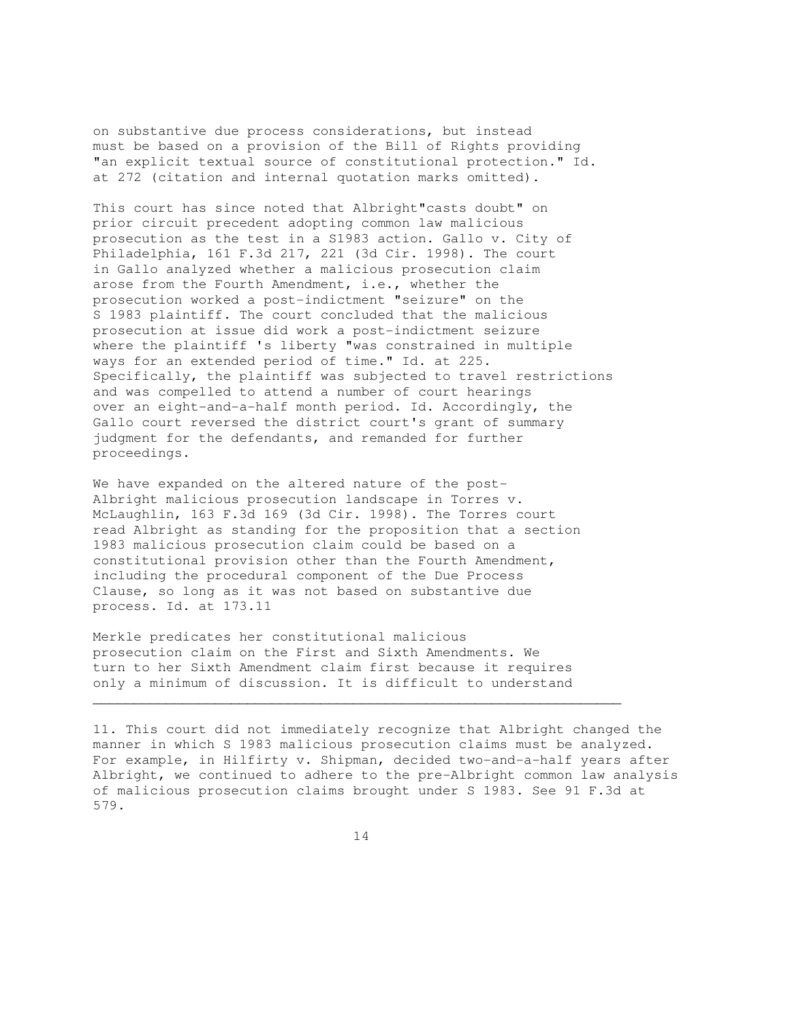on substantive due process considerations, but instead must be based on a provision of the Bill of Rights providing "an explicit textual source of constitutional protection." Id. at 272 (citation and internal quotation marks omitted).

This court has since noted that Albright"casts doubt" on prior circuit precedent adopting common law malicious prosecution as the test in a S1983 action. Gallo v. City of Philadelphia, 161 F.3d 217, 221 (3d Cir. 1998). The court in Gallo analyzed whether a malicious prosecution claim arose from the Fourth Amendment, i.e., whether the prosecution worked a post-indictment "seizure" on the S 1983 plaintiff. The court concluded that the malicious prosecution at issue did work a post-indictment seizure where the plaintiff 's liberty "was constrained in multiple ways for an extended period of time." Id. at 225. Specifically, the plaintiff was subjected to travel restrictions and was compelled to attend a number of court hearings over an eight-and-a-half month period. Id. Accordingly, the Gallo court reversed the district court's grant of summary judgment for the defendants, and remanded for further proceedings.

We have expanded on the altered nature of the post-Albright malicious prosecution landscape in Torres v. McLaughlin, 163 F.3d 169 (3d Cir. 1998). The Torres court read Albright as standing for the proposition that a section 1983 malicious prosecution claim could be based on a constitutional provision other than the Fourth Amendment, including the procedural component of the Due Process Clause, so long as it was not based on substantive due process. Id. at 173.11

Merkle predicates her constitutional malicious prosecution claim on the First and Sixth Amendments. We turn to her Sixth Amendment claim first because it requires only a minimum of discussion. It is difficult to understand

11. This court did not immediately recognize that Albright changed the manner in which S 1983 malicious prosecution claims must be analyzed. For example, in Hilfirty v. Shipman, decided two-and-a-half years after Albright, we continued to adhere to the pre-Albright common law analysis of malicious prosecution claims brought under S 1983. See 91 F.3d at 579.

 $\mathcal{L}_\mathcal{L}$  , and the contribution of the contribution of the contribution of the contribution of the contribution of the contribution of the contribution of the contribution of the contribution of the contribution of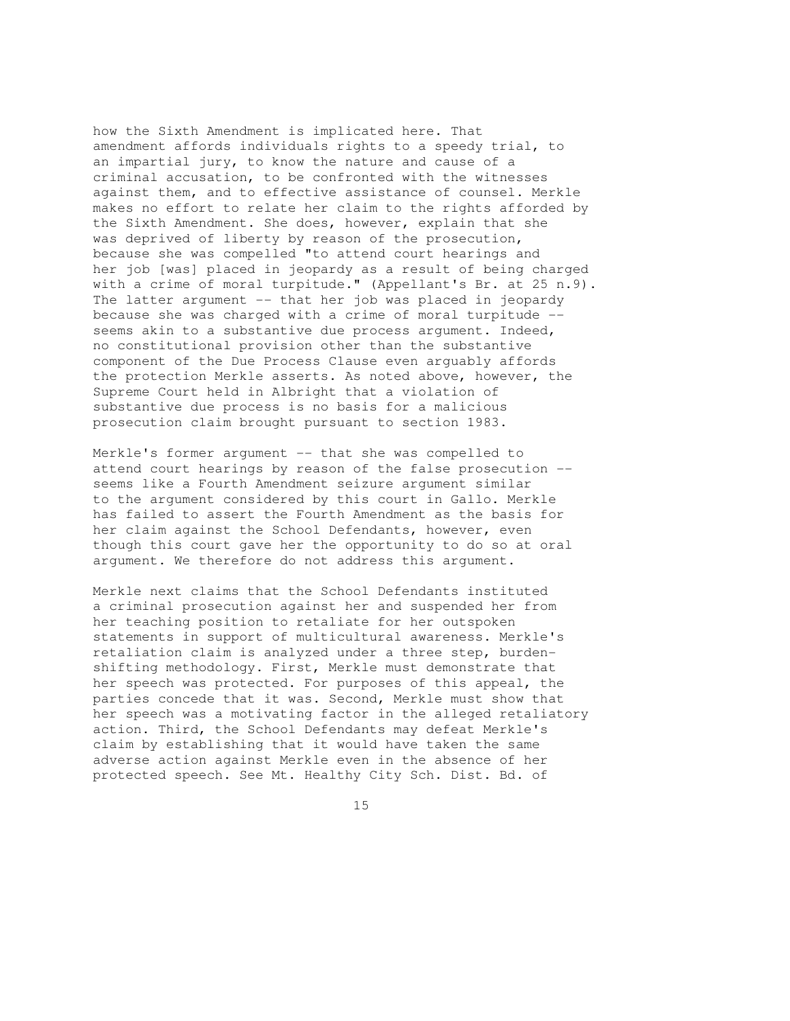how the Sixth Amendment is implicated here. That amendment affords individuals rights to a speedy trial, to an impartial jury, to know the nature and cause of a criminal accusation, to be confronted with the witnesses against them, and to effective assistance of counsel. Merkle makes no effort to relate her claim to the rights afforded by the Sixth Amendment. She does, however, explain that she was deprived of liberty by reason of the prosecution, because she was compelled "to attend court hearings and her job [was] placed in jeopardy as a result of being charged with a crime of moral turpitude." (Appellant's Br. at 25 n.9). The latter argument -- that her job was placed in jeopardy because she was charged with a crime of moral turpitude - seems akin to a substantive due process argument. Indeed, no constitutional provision other than the substantive component of the Due Process Clause even arguably affords the protection Merkle asserts. As noted above, however, the Supreme Court held in Albright that a violation of substantive due process is no basis for a malicious prosecution claim brought pursuant to section 1983.

Merkle's former argument -- that she was compelled to attend court hearings by reason of the false prosecution - seems like a Fourth Amendment seizure argument similar to the argument considered by this court in Gallo. Merkle has failed to assert the Fourth Amendment as the basis for her claim against the School Defendants, however, even though this court gave her the opportunity to do so at oral argument. We therefore do not address this argument.

Merkle next claims that the School Defendants instituted a criminal prosecution against her and suspended her from her teaching position to retaliate for her outspoken statements in support of multicultural awareness. Merkle's retaliation claim is analyzed under a three step, burdenshifting methodology. First, Merkle must demonstrate that her speech was protected. For purposes of this appeal, the parties concede that it was. Second, Merkle must show that her speech was a motivating factor in the alleged retaliatory action. Third, the School Defendants may defeat Merkle's claim by establishing that it would have taken the same adverse action against Merkle even in the absence of her protected speech. See Mt. Healthy City Sch. Dist. Bd. of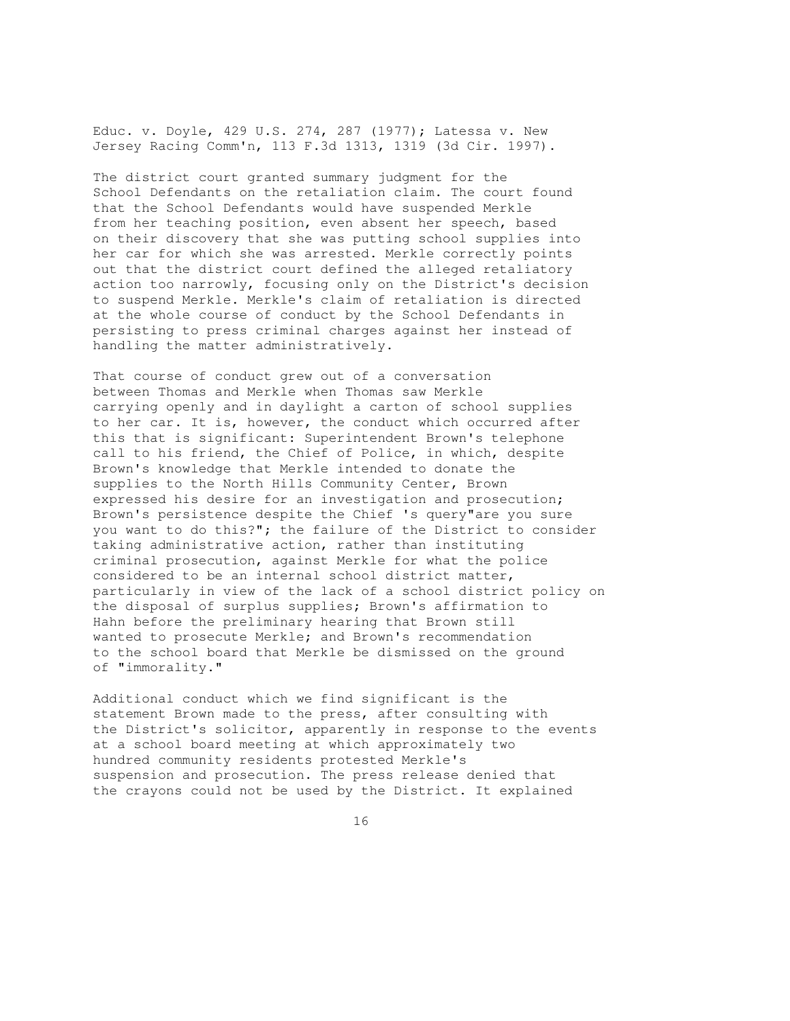Educ. v. Doyle, 429 U.S. 274, 287 (1977); Latessa v. New Jersey Racing Comm'n, 113 F.3d 1313, 1319 (3d Cir. 1997).

The district court granted summary judgment for the School Defendants on the retaliation claim. The court found that the School Defendants would have suspended Merkle from her teaching position, even absent her speech, based on their discovery that she was putting school supplies into her car for which she was arrested. Merkle correctly points out that the district court defined the alleged retaliatory action too narrowly, focusing only on the District's decision to suspend Merkle. Merkle's claim of retaliation is directed at the whole course of conduct by the School Defendants in persisting to press criminal charges against her instead of handling the matter administratively.

That course of conduct grew out of a conversation between Thomas and Merkle when Thomas saw Merkle carrying openly and in daylight a carton of school supplies to her car. It is, however, the conduct which occurred after this that is significant: Superintendent Brown's telephone call to his friend, the Chief of Police, in which, despite Brown's knowledge that Merkle intended to donate the supplies to the North Hills Community Center, Brown expressed his desire for an investigation and prosecution; Brown's persistence despite the Chief 's query"are you sure you want to do this?"; the failure of the District to consider taking administrative action, rather than instituting criminal prosecution, against Merkle for what the police considered to be an internal school district matter, particularly in view of the lack of a school district policy on the disposal of surplus supplies; Brown's affirmation to Hahn before the preliminary hearing that Brown still wanted to prosecute Merkle; and Brown's recommendation to the school board that Merkle be dismissed on the ground of "immorality."

Additional conduct which we find significant is the statement Brown made to the press, after consulting with the District's solicitor, apparently in response to the events at a school board meeting at which approximately two hundred community residents protested Merkle's suspension and prosecution. The press release denied that the crayons could not be used by the District. It explained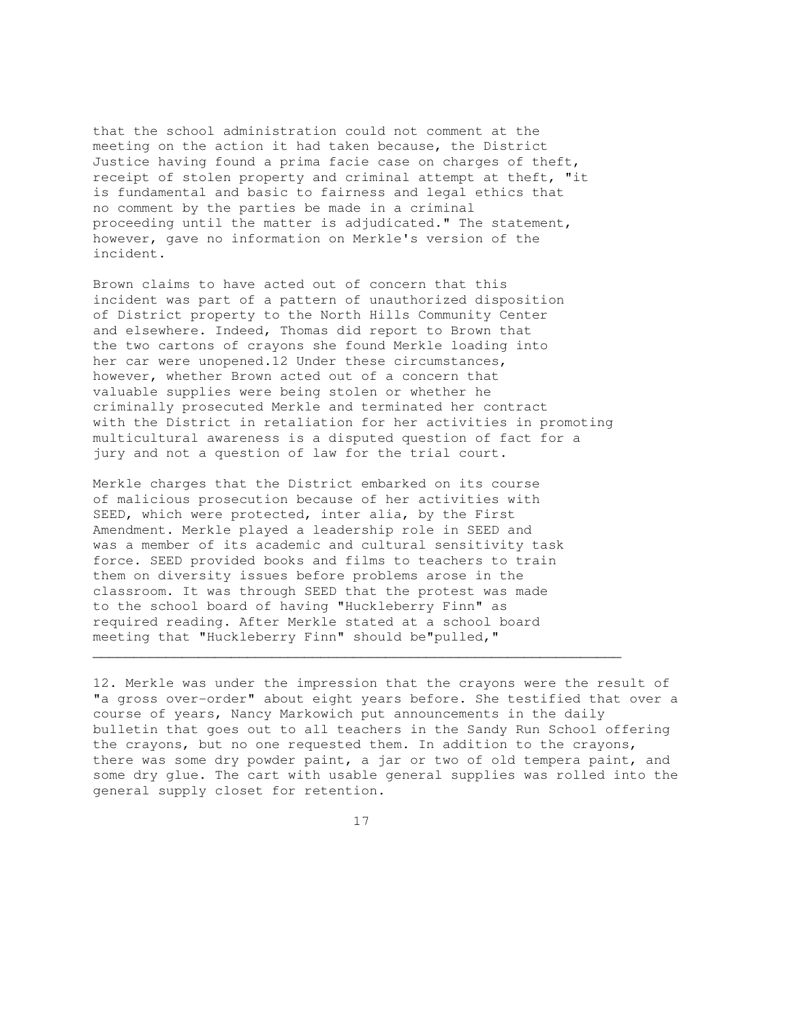that the school administration could not comment at the meeting on the action it had taken because, the District Justice having found a prima facie case on charges of theft, receipt of stolen property and criminal attempt at theft, "it is fundamental and basic to fairness and legal ethics that no comment by the parties be made in a criminal proceeding until the matter is adjudicated." The statement, however, gave no information on Merkle's version of the incident.

Brown claims to have acted out of concern that this incident was part of a pattern of unauthorized disposition of District property to the North Hills Community Center and elsewhere. Indeed, Thomas did report to Brown that the two cartons of crayons she found Merkle loading into her car were unopened.12 Under these circumstances, however, whether Brown acted out of a concern that valuable supplies were being stolen or whether he criminally prosecuted Merkle and terminated her contract with the District in retaliation for her activities in promoting multicultural awareness is a disputed question of fact for a jury and not a question of law for the trial court.

Merkle charges that the District embarked on its course of malicious prosecution because of her activities with SEED, which were protected, inter alia, by the First Amendment. Merkle played a leadership role in SEED and was a member of its academic and cultural sensitivity task force. SEED provided books and films to teachers to train them on diversity issues before problems arose in the classroom. It was through SEED that the protest was made to the school board of having "Huckleberry Finn" as required reading. After Merkle stated at a school board meeting that "Huckleberry Finn" should be"pulled,"

12. Merkle was under the impression that the crayons were the result of "a gross over-order" about eight years before. She testified that over a course of years, Nancy Markowich put announcements in the daily bulletin that goes out to all teachers in the Sandy Run School offering the crayons, but no one requested them. In addition to the crayons, there was some dry powder paint, a jar or two of old tempera paint, and some dry glue. The cart with usable general supplies was rolled into the general supply closet for retention.

17

 $\mathcal{L}_\mathcal{L} = \{ \mathcal{L}_\mathcal{L} = \{ \mathcal{L}_\mathcal{L} = \{ \mathcal{L}_\mathcal{L} = \{ \mathcal{L}_\mathcal{L} = \{ \mathcal{L}_\mathcal{L} = \{ \mathcal{L}_\mathcal{L} = \{ \mathcal{L}_\mathcal{L} = \{ \mathcal{L}_\mathcal{L} = \{ \mathcal{L}_\mathcal{L} = \{ \mathcal{L}_\mathcal{L} = \{ \mathcal{L}_\mathcal{L} = \{ \mathcal{L}_\mathcal{L} = \{ \mathcal{L}_\mathcal{L} = \{ \mathcal{L}_\mathcal{$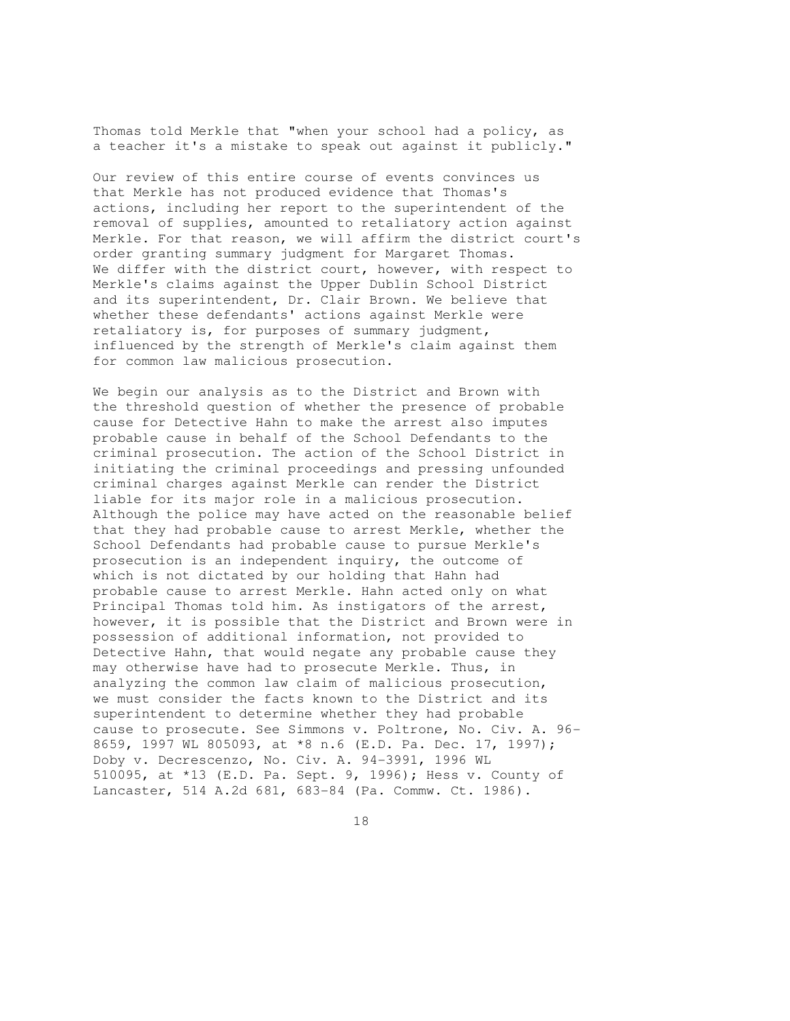Thomas told Merkle that "when your school had a policy, as a teacher it's a mistake to speak out against it publicly."

Our review of this entire course of events convinces us that Merkle has not produced evidence that Thomas's actions, including her report to the superintendent of the removal of supplies, amounted to retaliatory action against Merkle. For that reason, we will affirm the district court's order granting summary judgment for Margaret Thomas. We differ with the district court, however, with respect to Merkle's claims against the Upper Dublin School District and its superintendent, Dr. Clair Brown. We believe that whether these defendants' actions against Merkle were retaliatory is, for purposes of summary judgment, influenced by the strength of Merkle's claim against them for common law malicious prosecution.

We begin our analysis as to the District and Brown with the threshold question of whether the presence of probable cause for Detective Hahn to make the arrest also imputes probable cause in behalf of the School Defendants to the criminal prosecution. The action of the School District in initiating the criminal proceedings and pressing unfounded criminal charges against Merkle can render the District liable for its major role in a malicious prosecution. Although the police may have acted on the reasonable belief that they had probable cause to arrest Merkle, whether the School Defendants had probable cause to pursue Merkle's prosecution is an independent inquiry, the outcome of which is not dictated by our holding that Hahn had probable cause to arrest Merkle. Hahn acted only on what Principal Thomas told him. As instigators of the arrest, however, it is possible that the District and Brown were in possession of additional information, not provided to Detective Hahn, that would negate any probable cause they may otherwise have had to prosecute Merkle. Thus, in analyzing the common law claim of malicious prosecution, we must consider the facts known to the District and its superintendent to determine whether they had probable cause to prosecute. See Simmons v. Poltrone, No. Civ. A. 96- 8659, 1997 WL 805093, at \*8 n.6 (E.D. Pa. Dec. 17, 1997); Doby v. Decrescenzo, No. Civ. A. 94-3991, 1996 WL 510095, at \*13 (E.D. Pa. Sept. 9, 1996); Hess v. County of Lancaster, 514 A.2d 681, 683-84 (Pa. Commw. Ct. 1986).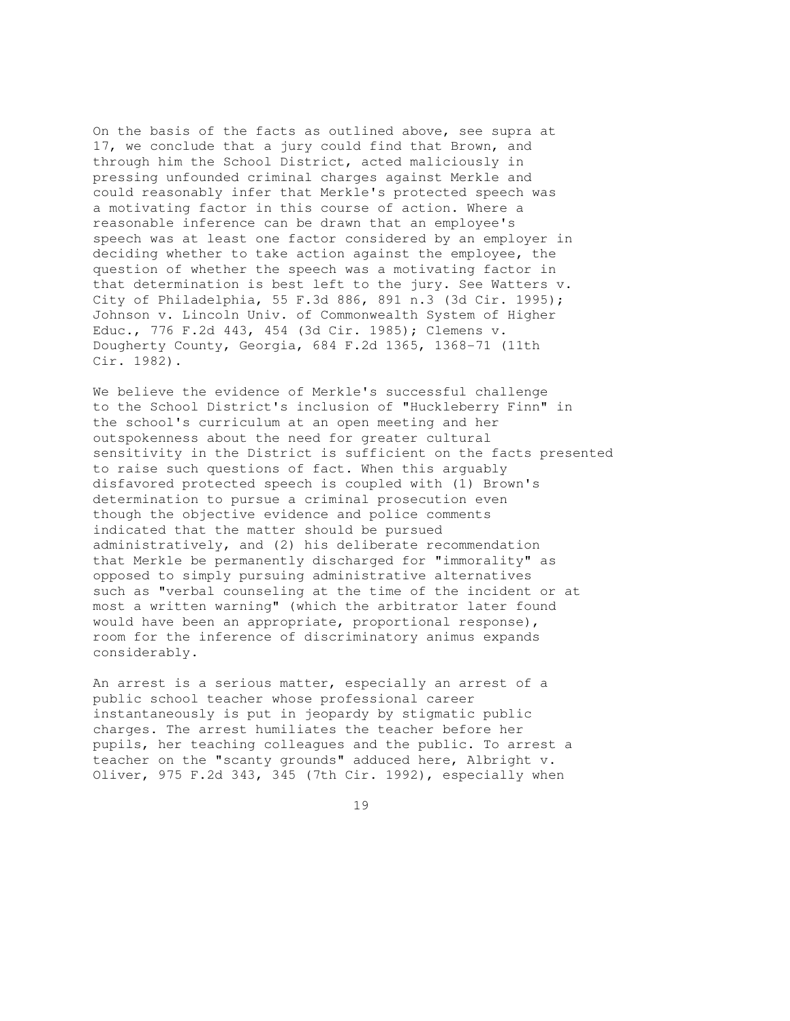On the basis of the facts as outlined above, see supra at 17, we conclude that a jury could find that Brown, and through him the School District, acted maliciously in pressing unfounded criminal charges against Merkle and could reasonably infer that Merkle's protected speech was a motivating factor in this course of action. Where a reasonable inference can be drawn that an employee's speech was at least one factor considered by an employer in deciding whether to take action against the employee, the question of whether the speech was a motivating factor in that determination is best left to the jury. See Watters v. City of Philadelphia, 55 F.3d 886, 891 n.3 (3d Cir. 1995); Johnson v. Lincoln Univ. of Commonwealth System of Higher Educ., 776 F.2d 443, 454 (3d Cir. 1985); Clemens v. Dougherty County, Georgia, 684 F.2d 1365, 1368-71 (11th Cir. 1982).

We believe the evidence of Merkle's successful challenge to the School District's inclusion of "Huckleberry Finn" in the school's curriculum at an open meeting and her outspokenness about the need for greater cultural sensitivity in the District is sufficient on the facts presented to raise such questions of fact. When this arguably disfavored protected speech is coupled with (1) Brown's determination to pursue a criminal prosecution even though the objective evidence and police comments indicated that the matter should be pursued administratively, and (2) his deliberate recommendation that Merkle be permanently discharged for "immorality" as opposed to simply pursuing administrative alternatives such as "verbal counseling at the time of the incident or at most a written warning" (which the arbitrator later found would have been an appropriate, proportional response), room for the inference of discriminatory animus expands considerably.

An arrest is a serious matter, especially an arrest of a public school teacher whose professional career instantaneously is put in jeopardy by stigmatic public charges. The arrest humiliates the teacher before her pupils, her teaching colleagues and the public. To arrest a teacher on the "scanty grounds" adduced here, Albright v. Oliver, 975 F.2d 343, 345 (7th Cir. 1992), especially when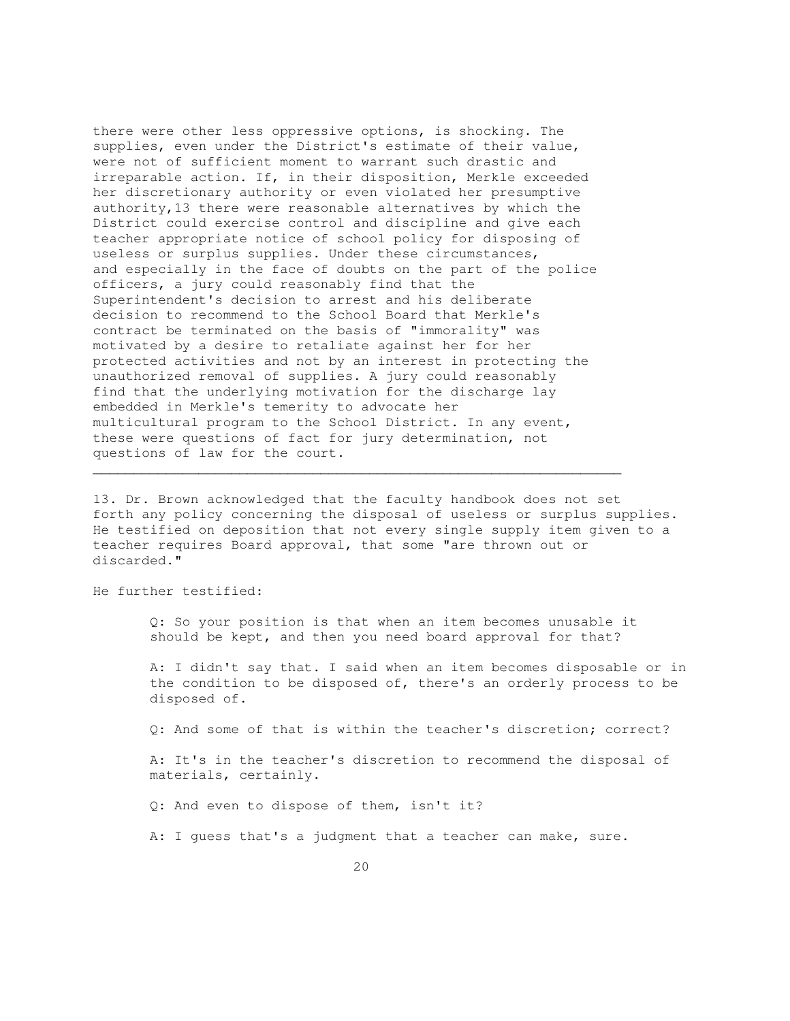there were other less oppressive options, is shocking. The supplies, even under the District's estimate of their value, were not of sufficient moment to warrant such drastic and irreparable action. If, in their disposition, Merkle exceeded her discretionary authority or even violated her presumptive authority,13 there were reasonable alternatives by which the District could exercise control and discipline and give each teacher appropriate notice of school policy for disposing of useless or surplus supplies. Under these circumstances, and especially in the face of doubts on the part of the police officers, a jury could reasonably find that the Superintendent's decision to arrest and his deliberate decision to recommend to the School Board that Merkle's contract be terminated on the basis of "immorality" was motivated by a desire to retaliate against her for her protected activities and not by an interest in protecting the unauthorized removal of supplies. A jury could reasonably find that the underlying motivation for the discharge lay embedded in Merkle's temerity to advocate her multicultural program to the School District. In any event, these were questions of fact for jury determination, not questions of law for the court.

13. Dr. Brown acknowledged that the faculty handbook does not set forth any policy concerning the disposal of useless or surplus supplies. He testified on deposition that not every single supply item given to a teacher requires Board approval, that some "are thrown out or discarded."

 $\mathcal{L}_\mathcal{L}$  , and the set of the set of the set of the set of the set of the set of the set of the set of the set of the set of the set of the set of the set of the set of the set of the set of the set of the set of th

He further testified:

 Q: So your position is that when an item becomes unusable it should be kept, and then you need board approval for that?

 A: I didn't say that. I said when an item becomes disposable or in the condition to be disposed of, there's an orderly process to be disposed of.

Q: And some of that is within the teacher's discretion; correct?

 A: It's in the teacher's discretion to recommend the disposal of materials, certainly.

Q: And even to dispose of them, isn't it?

A: I guess that's a judgment that a teacher can make, sure.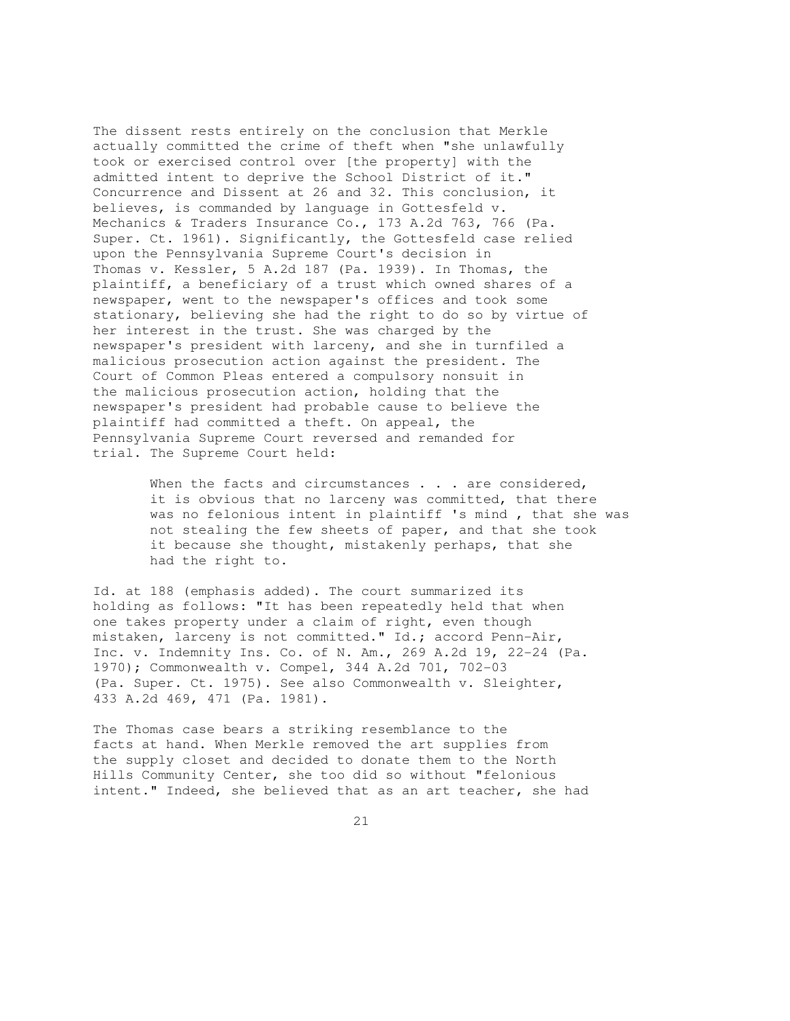The dissent rests entirely on the conclusion that Merkle actually committed the crime of theft when "she unlawfully took or exercised control over [the property] with the admitted intent to deprive the School District of it." Concurrence and Dissent at 26 and 32. This conclusion, it believes, is commanded by language in Gottesfeld v. Mechanics & Traders Insurance Co., 173 A.2d 763, 766 (Pa. Super. Ct. 1961). Significantly, the Gottesfeld case relied upon the Pennsylvania Supreme Court's decision in Thomas v. Kessler, 5 A.2d 187 (Pa. 1939). In Thomas, the plaintiff, a beneficiary of a trust which owned shares of a newspaper, went to the newspaper's offices and took some stationary, believing she had the right to do so by virtue of her interest in the trust. She was charged by the newspaper's president with larceny, and she in turnfiled a malicious prosecution action against the president. The Court of Common Pleas entered a compulsory nonsuit in the malicious prosecution action, holding that the newspaper's president had probable cause to believe the plaintiff had committed a theft. On appeal, the Pennsylvania Supreme Court reversed and remanded for trial. The Supreme Court held:

> When the facts and circumstances . . . are considered, it is obvious that no larceny was committed, that there was no felonious intent in plaintiff 's mind , that she was not stealing the few sheets of paper, and that she took it because she thought, mistakenly perhaps, that she had the right to.

Id. at 188 (emphasis added). The court summarized its holding as follows: "It has been repeatedly held that when one takes property under a claim of right, even though mistaken, larceny is not committed." Id.; accord Penn-Air, Inc. v. Indemnity Ins. Co. of N. Am., 269 A.2d 19, 22-24 (Pa. 1970); Commonwealth v. Compel, 344 A.2d 701, 702-03 (Pa. Super. Ct. 1975). See also Commonwealth v. Sleighter, 433 A.2d 469, 471 (Pa. 1981).

The Thomas case bears a striking resemblance to the facts at hand. When Merkle removed the art supplies from the supply closet and decided to donate them to the North Hills Community Center, she too did so without "felonious intent." Indeed, she believed that as an art teacher, she had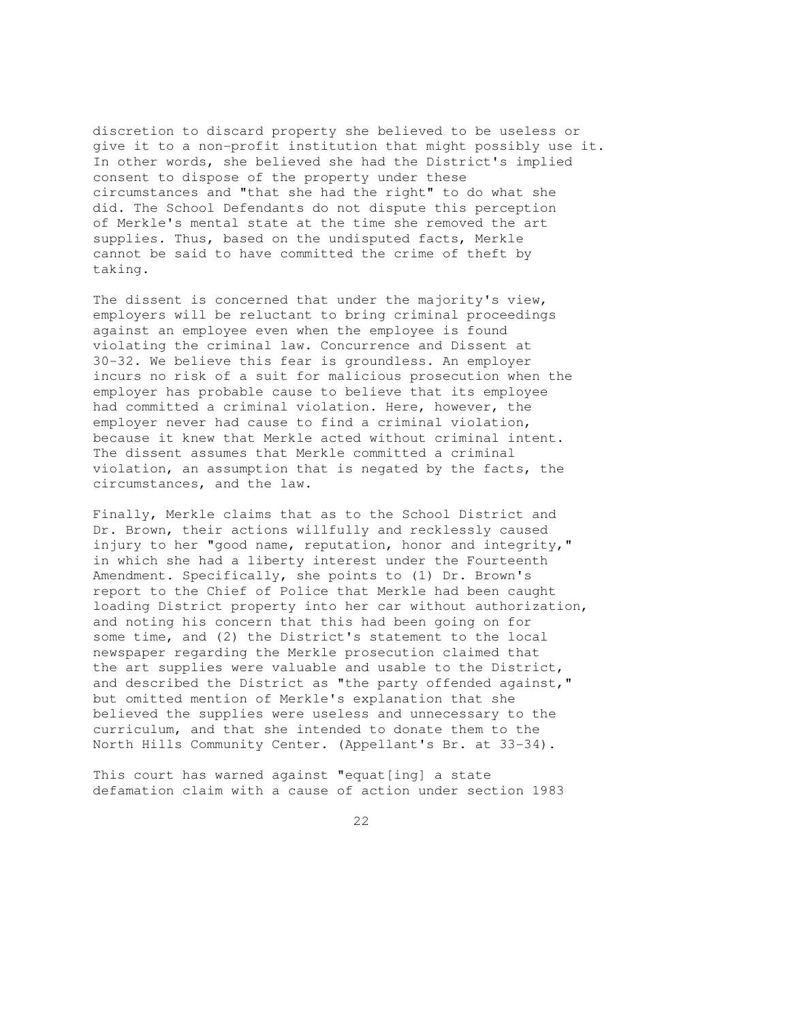discretion to discard property she believed to be useless or give it to a non-profit institution that might possibly use it. In other words, she believed she had the District's implied consent to dispose of the property under these circumstances and "that she had the right" to do what she did. The School Defendants do not dispute this perception of Merkle's mental state at the time she removed the art supplies. Thus, based on the undisputed facts, Merkle cannot be said to have committed the crime of theft by taking.

The dissent is concerned that under the majority's view, employers will be reluctant to bring criminal proceedings against an employee even when the employee is found violating the criminal law. Concurrence and Dissent at 30-32. We believe this fear is groundless. An employer incurs no risk of a suit for malicious prosecution when the employer has probable cause to believe that its employee had committed a criminal violation. Here, however, the employer never had cause to find a criminal violation, because it knew that Merkle acted without criminal intent. The dissent assumes that Merkle committed a criminal violation, an assumption that is negated by the facts, the circumstances, and the law.

Finally, Merkle claims that as to the School District and Dr. Brown, their actions willfully and recklessly caused injury to her "good name, reputation, honor and integrity," in which she had a liberty interest under the Fourteenth Amendment. Specifically, she points to (1) Dr. Brown's report to the Chief of Police that Merkle had been caught loading District property into her car without authorization, and noting his concern that this had been going on for some time, and (2) the District's statement to the local newspaper regarding the Merkle prosecution claimed that the art supplies were valuable and usable to the District, and described the District as "the party offended against," but omitted mention of Merkle's explanation that she believed the supplies were useless and unnecessary to the curriculum, and that she intended to donate them to the North Hills Community Center. (Appellant's Br. at 33-34).

This court has warned against "equat[ing] a state defamation claim with a cause of action under section 1983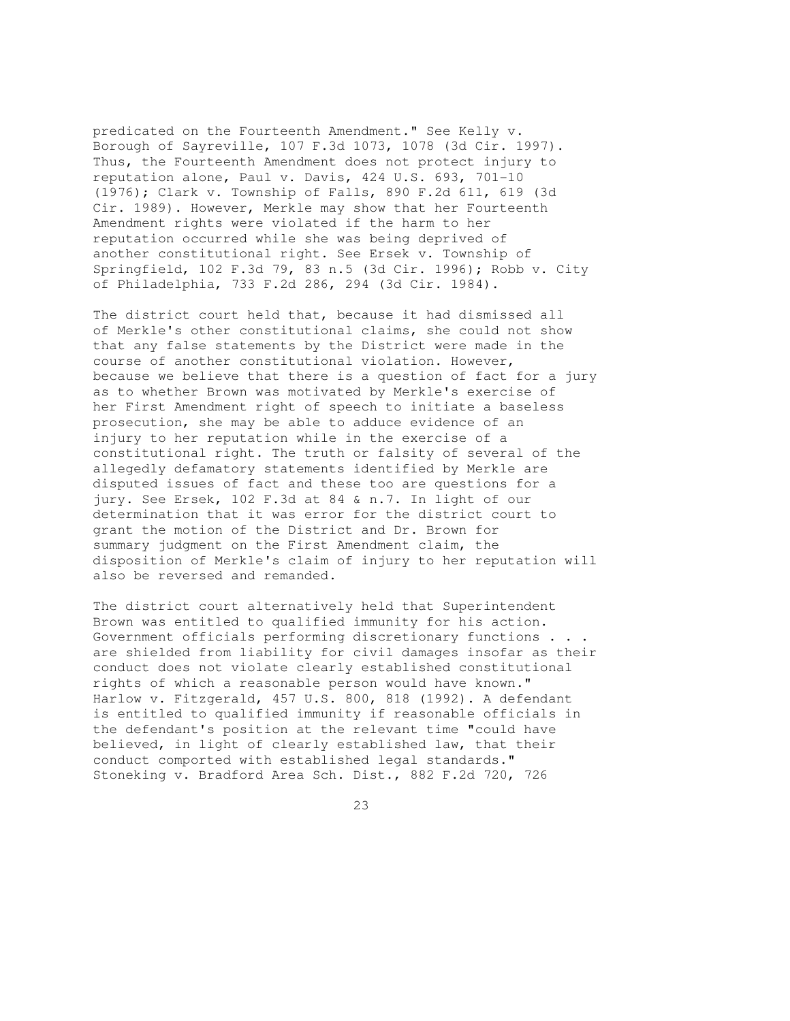predicated on the Fourteenth Amendment." See Kelly v. Borough of Sayreville, 107 F.3d 1073, 1078 (3d Cir. 1997). Thus, the Fourteenth Amendment does not protect injury to reputation alone, Paul v. Davis, 424 U.S. 693, 701-10 (1976); Clark v. Township of Falls, 890 F.2d 611, 619 (3d Cir. 1989). However, Merkle may show that her Fourteenth Amendment rights were violated if the harm to her reputation occurred while she was being deprived of another constitutional right. See Ersek v. Township of Springfield, 102 F.3d 79, 83 n.5 (3d Cir. 1996); Robb v. City of Philadelphia, 733 F.2d 286, 294 (3d Cir. 1984).

The district court held that, because it had dismissed all of Merkle's other constitutional claims, she could not show that any false statements by the District were made in the course of another constitutional violation. However, because we believe that there is a question of fact for a jury as to whether Brown was motivated by Merkle's exercise of her First Amendment right of speech to initiate a baseless prosecution, she may be able to adduce evidence of an injury to her reputation while in the exercise of a constitutional right. The truth or falsity of several of the allegedly defamatory statements identified by Merkle are disputed issues of fact and these too are questions for a jury. See Ersek, 102 F.3d at 84 & n.7. In light of our determination that it was error for the district court to grant the motion of the District and Dr. Brown for summary judgment on the First Amendment claim, the disposition of Merkle's claim of injury to her reputation will also be reversed and remanded.

The district court alternatively held that Superintendent Brown was entitled to qualified immunity for his action. Government officials performing discretionary functions . . . are shielded from liability for civil damages insofar as their conduct does not violate clearly established constitutional rights of which a reasonable person would have known." Harlow v. Fitzgerald, 457 U.S. 800, 818 (1992). A defendant is entitled to qualified immunity if reasonable officials in the defendant's position at the relevant time "could have believed, in light of clearly established law, that their conduct comported with established legal standards." Stoneking v. Bradford Area Sch. Dist., 882 F.2d 720, 726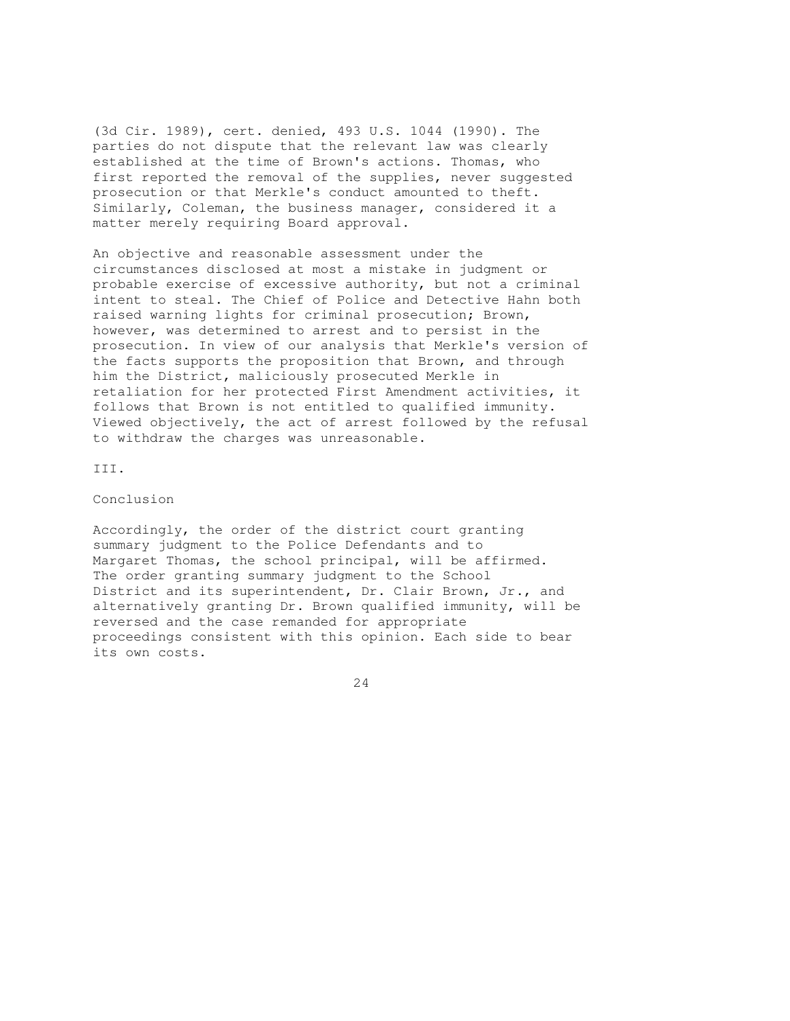(3d Cir. 1989), cert. denied, 493 U.S. 1044 (1990). The parties do not dispute that the relevant law was clearly established at the time of Brown's actions. Thomas, who first reported the removal of the supplies, never suggested prosecution or that Merkle's conduct amounted to theft. Similarly, Coleman, the business manager, considered it a matter merely requiring Board approval.

An objective and reasonable assessment under the circumstances disclosed at most a mistake in judgment or probable exercise of excessive authority, but not a criminal intent to steal. The Chief of Police and Detective Hahn both raised warning lights for criminal prosecution; Brown, however, was determined to arrest and to persist in the prosecution. In view of our analysis that Merkle's version of the facts supports the proposition that Brown, and through him the District, maliciously prosecuted Merkle in retaliation for her protected First Amendment activities, it follows that Brown is not entitled to qualified immunity. Viewed objectively, the act of arrest followed by the refusal to withdraw the charges was unreasonable.

III.

Conclusion

Accordingly, the order of the district court granting summary judgment to the Police Defendants and to Margaret Thomas, the school principal, will be affirmed. The order granting summary judgment to the School District and its superintendent, Dr. Clair Brown, Jr., and alternatively granting Dr. Brown qualified immunity, will be reversed and the case remanded for appropriate proceedings consistent with this opinion. Each side to bear its own costs.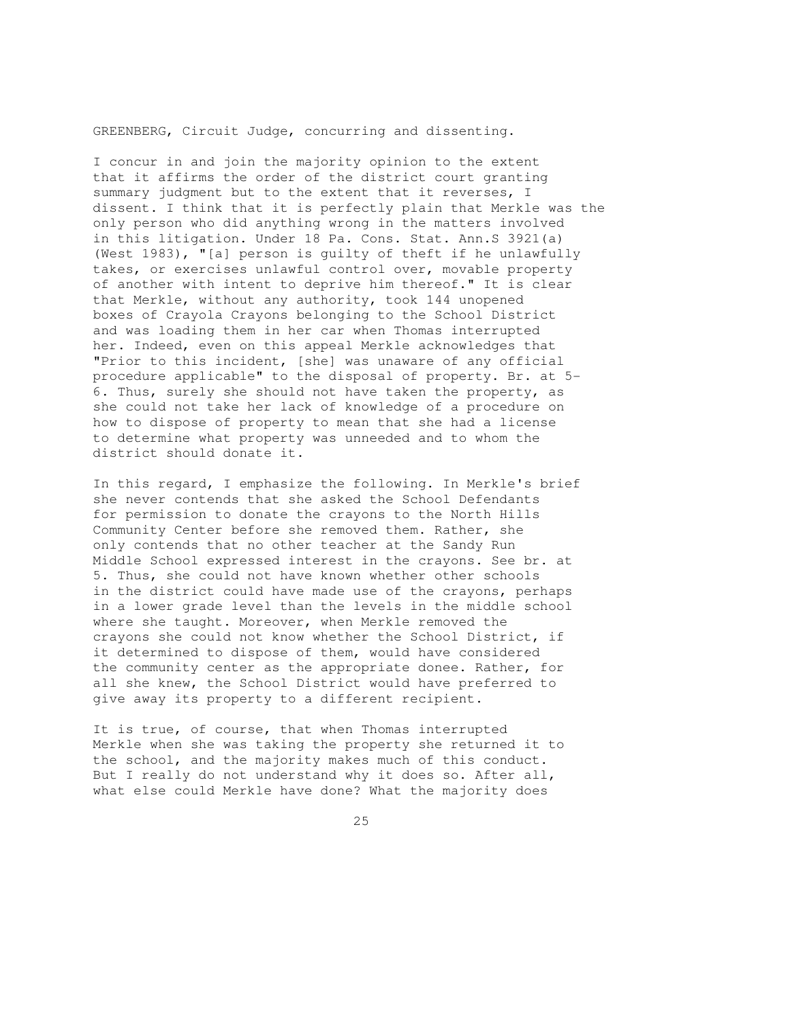GREENBERG, Circuit Judge, concurring and dissenting.

I concur in and join the majority opinion to the extent that it affirms the order of the district court granting summary judgment but to the extent that it reverses, I dissent. I think that it is perfectly plain that Merkle was the only person who did anything wrong in the matters involved in this litigation. Under 18 Pa. Cons. Stat. Ann.S 3921(a) (West 1983), "[a] person is guilty of theft if he unlawfully takes, or exercises unlawful control over, movable property of another with intent to deprive him thereof." It is clear that Merkle, without any authority, took 144 unopened boxes of Crayola Crayons belonging to the School District and was loading them in her car when Thomas interrupted her. Indeed, even on this appeal Merkle acknowledges that "Prior to this incident, [she] was unaware of any official procedure applicable" to the disposal of property. Br. at 5- 6. Thus, surely she should not have taken the property, as she could not take her lack of knowledge of a procedure on how to dispose of property to mean that she had a license to determine what property was unneeded and to whom the district should donate it.

In this regard, I emphasize the following. In Merkle's brief she never contends that she asked the School Defendants for permission to donate the crayons to the North Hills Community Center before she removed them. Rather, she only contends that no other teacher at the Sandy Run Middle School expressed interest in the crayons. See br. at 5. Thus, she could not have known whether other schools in the district could have made use of the crayons, perhaps in a lower grade level than the levels in the middle school where she taught. Moreover, when Merkle removed the crayons she could not know whether the School District, if it determined to dispose of them, would have considered the community center as the appropriate donee. Rather, for all she knew, the School District would have preferred to give away its property to a different recipient.

It is true, of course, that when Thomas interrupted Merkle when she was taking the property she returned it to the school, and the majority makes much of this conduct. But I really do not understand why it does so. After all, what else could Merkle have done? What the majority does

<u>25</u>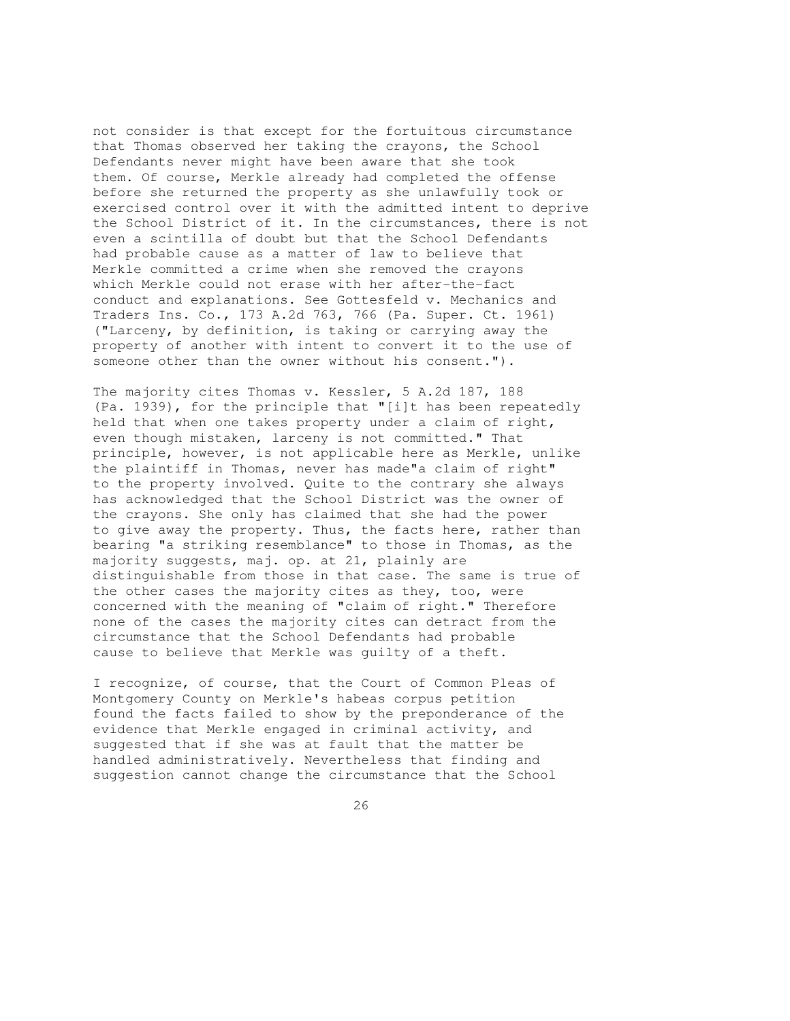not consider is that except for the fortuitous circumstance that Thomas observed her taking the crayons, the School Defendants never might have been aware that she took them. Of course, Merkle already had completed the offense before she returned the property as she unlawfully took or exercised control over it with the admitted intent to deprive the School District of it. In the circumstances, there is not even a scintilla of doubt but that the School Defendants had probable cause as a matter of law to believe that Merkle committed a crime when she removed the crayons which Merkle could not erase with her after-the-fact conduct and explanations. See Gottesfeld v. Mechanics and Traders Ins. Co., 173 A.2d 763, 766 (Pa. Super. Ct. 1961) ("Larceny, by definition, is taking or carrying away the property of another with intent to convert it to the use of someone other than the owner without his consent.").

The majority cites Thomas v. Kessler, 5 A.2d 187, 188 (Pa. 1939), for the principle that "[i]t has been repeatedly held that when one takes property under a claim of right, even though mistaken, larceny is not committed." That principle, however, is not applicable here as Merkle, unlike the plaintiff in Thomas, never has made"a claim of right" to the property involved. Quite to the contrary she always has acknowledged that the School District was the owner of the crayons. She only has claimed that she had the power to give away the property. Thus, the facts here, rather than bearing "a striking resemblance" to those in Thomas, as the majority suggests, maj. op. at 21, plainly are distinguishable from those in that case. The same is true of the other cases the majority cites as they, too, were concerned with the meaning of "claim of right." Therefore none of the cases the majority cites can detract from the circumstance that the School Defendants had probable cause to believe that Merkle was guilty of a theft.

I recognize, of course, that the Court of Common Pleas of Montgomery County on Merkle's habeas corpus petition found the facts failed to show by the preponderance of the evidence that Merkle engaged in criminal activity, and suggested that if she was at fault that the matter be handled administratively. Nevertheless that finding and suggestion cannot change the circumstance that the School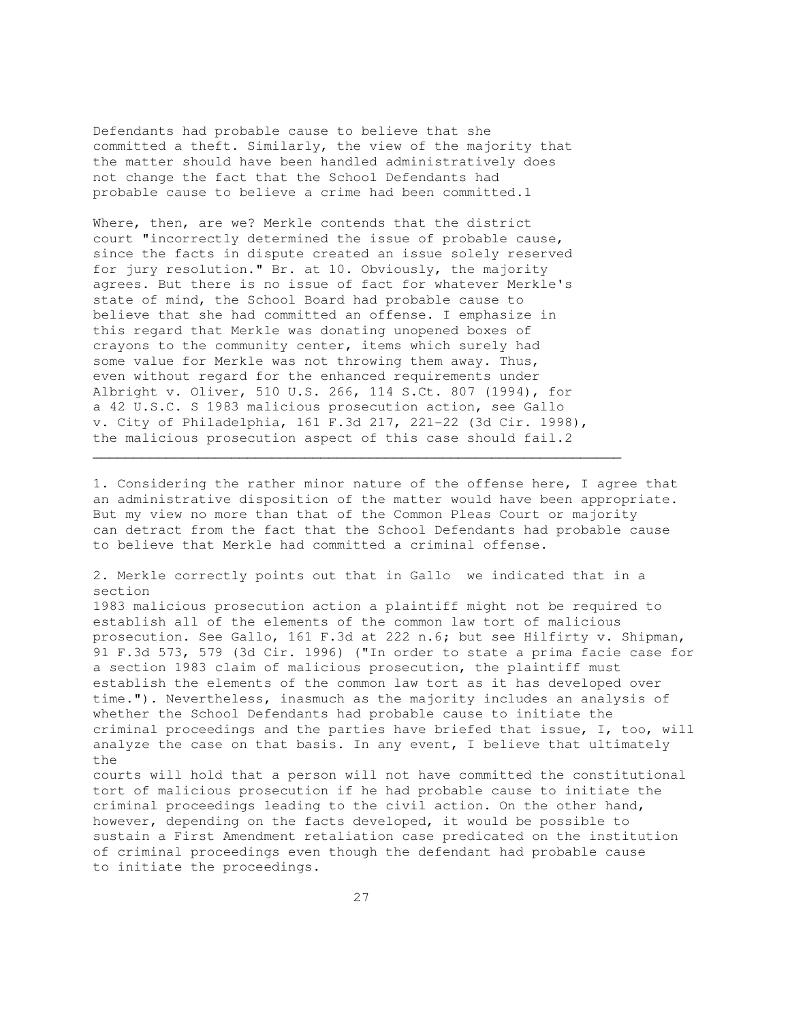Defendants had probable cause to believe that she committed a theft. Similarly, the view of the majority that the matter should have been handled administratively does not change the fact that the School Defendants had probable cause to believe a crime had been committed.1

Where, then, are we? Merkle contends that the district court "incorrectly determined the issue of probable cause, since the facts in dispute created an issue solely reserved for jury resolution." Br. at 10. Obviously, the majority agrees. But there is no issue of fact for whatever Merkle's state of mind, the School Board had probable cause to believe that she had committed an offense. I emphasize in this regard that Merkle was donating unopened boxes of crayons to the community center, items which surely had some value for Merkle was not throwing them away. Thus, even without regard for the enhanced requirements under Albright v. Oliver, 510 U.S. 266, 114 S.Ct. 807 (1994), for a 42 U.S.C. S 1983 malicious prosecution action, see Gallo v. City of Philadelphia, 161 F.3d 217, 221-22 (3d Cir. 1998), the malicious prosecution aspect of this case should fail.2

1. Considering the rather minor nature of the offense here, I agree that an administrative disposition of the matter would have been appropriate. But my view no more than that of the Common Pleas Court or majority can detract from the fact that the School Defendants had probable cause to believe that Merkle had committed a criminal offense.

 $\mathcal{L}_\mathcal{L} = \{ \mathcal{L}_\mathcal{L} = \{ \mathcal{L}_\mathcal{L} = \{ \mathcal{L}_\mathcal{L} = \{ \mathcal{L}_\mathcal{L} = \{ \mathcal{L}_\mathcal{L} = \{ \mathcal{L}_\mathcal{L} = \{ \mathcal{L}_\mathcal{L} = \{ \mathcal{L}_\mathcal{L} = \{ \mathcal{L}_\mathcal{L} = \{ \mathcal{L}_\mathcal{L} = \{ \mathcal{L}_\mathcal{L} = \{ \mathcal{L}_\mathcal{L} = \{ \mathcal{L}_\mathcal{L} = \{ \mathcal{L}_\mathcal{$ 

2. Merkle correctly points out that in Gallo we indicated that in a section 1983 malicious prosecution action a plaintiff might not be required to establish all of the elements of the common law tort of malicious prosecution. See Gallo, 161 F.3d at 222 n.6; but see Hilfirty v. Shipman, 91 F.3d 573, 579 (3d Cir. 1996) ("In order to state a prima facie case for a section 1983 claim of malicious prosecution, the plaintiff must establish the elements of the common law tort as it has developed over time."). Nevertheless, inasmuch as the majority includes an analysis of whether the School Defendants had probable cause to initiate the criminal proceedings and the parties have briefed that issue, I, too, will analyze the case on that basis. In any event, I believe that ultimately the courts will hold that a person will not have committed the constitutional tort of malicious prosecution if he had probable cause to initiate the criminal proceedings leading to the civil action. On the other hand, however, depending on the facts developed, it would be possible to sustain a First Amendment retaliation case predicated on the institution of criminal proceedings even though the defendant had probable cause to initiate the proceedings.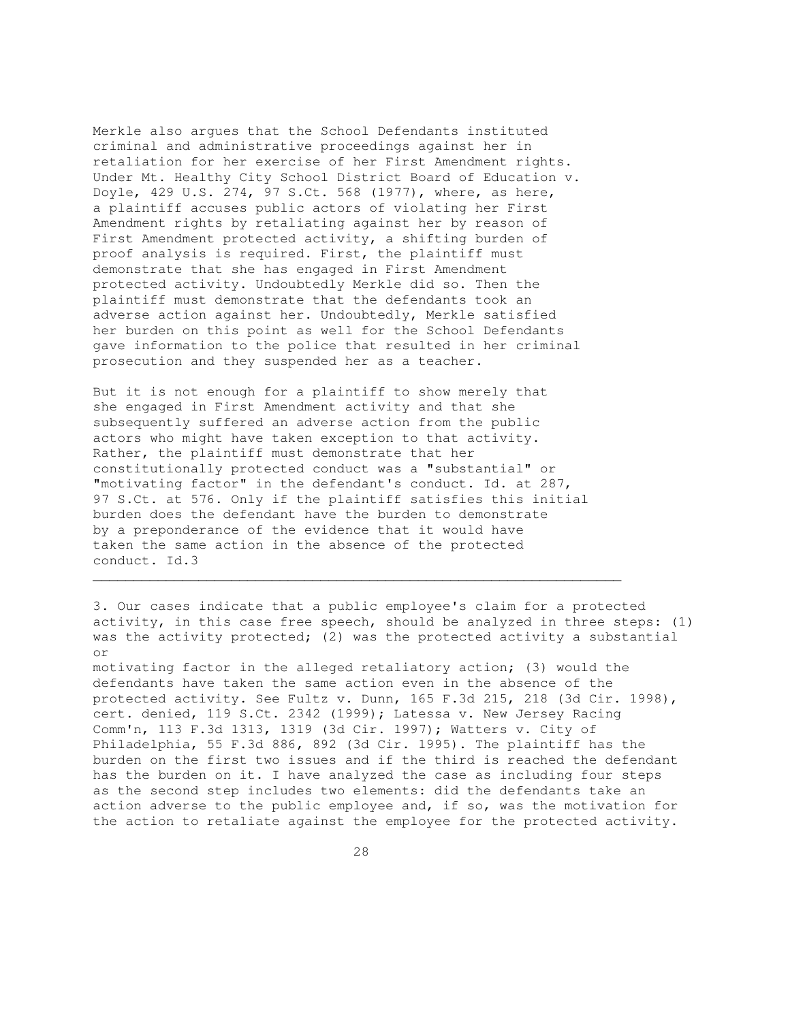Merkle also argues that the School Defendants instituted criminal and administrative proceedings against her in retaliation for her exercise of her First Amendment rights. Under Mt. Healthy City School District Board of Education v. Doyle, 429 U.S. 274, 97 S.Ct. 568 (1977), where, as here, a plaintiff accuses public actors of violating her First Amendment rights by retaliating against her by reason of First Amendment protected activity, a shifting burden of proof analysis is required. First, the plaintiff must demonstrate that she has engaged in First Amendment protected activity. Undoubtedly Merkle did so. Then the plaintiff must demonstrate that the defendants took an adverse action against her. Undoubtedly, Merkle satisfied her burden on this point as well for the School Defendants gave information to the police that resulted in her criminal prosecution and they suspended her as a teacher.

But it is not enough for a plaintiff to show merely that she engaged in First Amendment activity and that she subsequently suffered an adverse action from the public actors who might have taken exception to that activity. Rather, the plaintiff must demonstrate that her constitutionally protected conduct was a "substantial" or "motivating factor" in the defendant's conduct. Id. at 287, 97 S.Ct. at 576. Only if the plaintiff satisfies this initial burden does the defendant have the burden to demonstrate by a preponderance of the evidence that it would have taken the same action in the absence of the protected conduct. Id.3

 $\mathcal{L}_\mathcal{L}$  , and the set of the set of the set of the set of the set of the set of the set of the set of the set of the set of the set of the set of the set of the set of the set of the set of the set of the set of th

3. Our cases indicate that a public employee's claim for a protected activity, in this case free speech, should be analyzed in three steps: (1) was the activity protected; (2) was the protected activity a substantial or motivating factor in the alleged retaliatory action; (3) would the defendants have taken the same action even in the absence of the protected activity. See Fultz v. Dunn, 165 F.3d 215, 218 (3d Cir. 1998), cert. denied, 119 S.Ct. 2342 (1999); Latessa v. New Jersey Racing Comm'n, 113 F.3d 1313, 1319 (3d Cir. 1997); Watters v. City of Philadelphia, 55 F.3d 886, 892 (3d Cir. 1995). The plaintiff has the burden on the first two issues and if the third is reached the defendant has the burden on it. I have analyzed the case as including four steps as the second step includes two elements: did the defendants take an action adverse to the public employee and, if so, was the motivation for

the action to retaliate against the employee for the protected activity.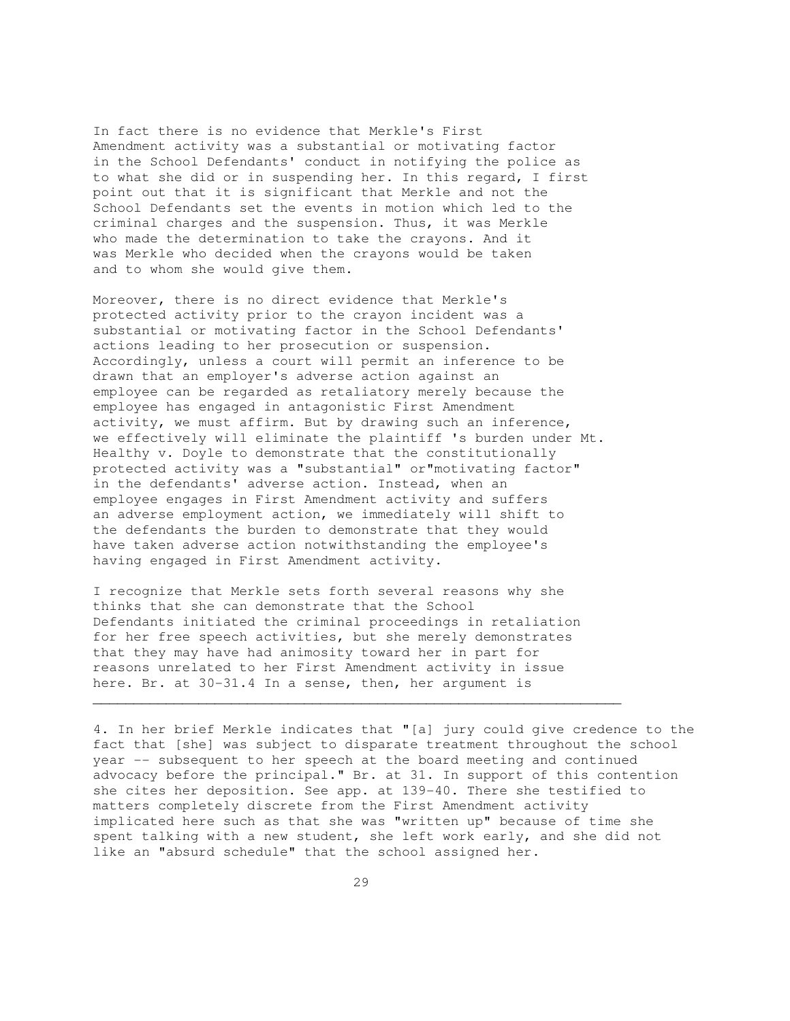In fact there is no evidence that Merkle's First Amendment activity was a substantial or motivating factor in the School Defendants' conduct in notifying the police as to what she did or in suspending her. In this regard, I first point out that it is significant that Merkle and not the School Defendants set the events in motion which led to the criminal charges and the suspension. Thus, it was Merkle who made the determination to take the crayons. And it was Merkle who decided when the crayons would be taken and to whom she would give them.

Moreover, there is no direct evidence that Merkle's protected activity prior to the crayon incident was a substantial or motivating factor in the School Defendants' actions leading to her prosecution or suspension. Accordingly, unless a court will permit an inference to be drawn that an employer's adverse action against an employee can be regarded as retaliatory merely because the employee has engaged in antagonistic First Amendment activity, we must affirm. But by drawing such an inference, we effectively will eliminate the plaintiff 's burden under Mt. Healthy v. Doyle to demonstrate that the constitutionally protected activity was a "substantial" or"motivating factor" in the defendants' adverse action. Instead, when an employee engages in First Amendment activity and suffers an adverse employment action, we immediately will shift to the defendants the burden to demonstrate that they would have taken adverse action notwithstanding the employee's having engaged in First Amendment activity.

I recognize that Merkle sets forth several reasons why she thinks that she can demonstrate that the School Defendants initiated the criminal proceedings in retaliation for her free speech activities, but she merely demonstrates that they may have had animosity toward her in part for reasons unrelated to her First Amendment activity in issue here. Br. at 30-31.4 In a sense, then, her argument is

 $\mathcal{L}_\mathcal{L}$  , and the set of the set of the set of the set of the set of the set of the set of the set of the set of the set of the set of the set of the set of the set of the set of the set of the set of the set of th

4. In her brief Merkle indicates that "[a] jury could give credence to the fact that [she] was subject to disparate treatment throughout the school year -- subsequent to her speech at the board meeting and continued advocacy before the principal." Br. at 31. In support of this contention she cites her deposition. See app. at 139-40. There she testified to matters completely discrete from the First Amendment activity implicated here such as that she was "written up" because of time she spent talking with a new student, she left work early, and she did not like an "absurd schedule" that the school assigned her.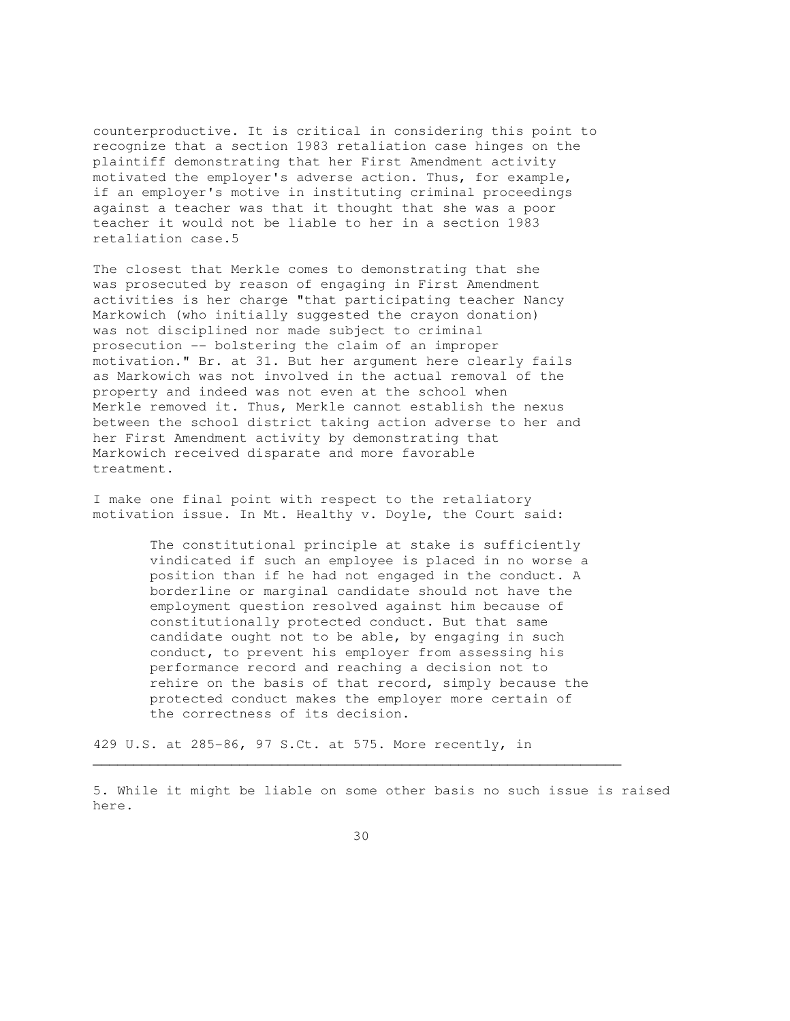counterproductive. It is critical in considering this point to recognize that a section 1983 retaliation case hinges on the plaintiff demonstrating that her First Amendment activity motivated the employer's adverse action. Thus, for example, if an employer's motive in instituting criminal proceedings against a teacher was that it thought that she was a poor teacher it would not be liable to her in a section 1983 retaliation case.5

The closest that Merkle comes to demonstrating that she was prosecuted by reason of engaging in First Amendment activities is her charge "that participating teacher Nancy Markowich (who initially suggested the crayon donation) was not disciplined nor made subject to criminal prosecution -- bolstering the claim of an improper motivation." Br. at 31. But her argument here clearly fails as Markowich was not involved in the actual removal of the property and indeed was not even at the school when Merkle removed it. Thus, Merkle cannot establish the nexus between the school district taking action adverse to her and her First Amendment activity by demonstrating that Markowich received disparate and more favorable treatment.

I make one final point with respect to the retaliatory motivation issue. In Mt. Healthy v. Doyle, the Court said:

> The constitutional principle at stake is sufficiently vindicated if such an employee is placed in no worse a position than if he had not engaged in the conduct. A borderline or marginal candidate should not have the employment question resolved against him because of constitutionally protected conduct. But that same candidate ought not to be able, by engaging in such conduct, to prevent his employer from assessing his performance record and reaching a decision not to rehire on the basis of that record, simply because the protected conduct makes the employer more certain of the correctness of its decision.

429 U.S. at 285-86, 97 S.Ct. at 575. More recently, in

5. While it might be liable on some other basis no such issue is raised here.

 $\mathcal{L}_\mathcal{L} = \{ \mathcal{L}_\mathcal{L} = \{ \mathcal{L}_\mathcal{L} = \{ \mathcal{L}_\mathcal{L} = \{ \mathcal{L}_\mathcal{L} = \{ \mathcal{L}_\mathcal{L} = \{ \mathcal{L}_\mathcal{L} = \{ \mathcal{L}_\mathcal{L} = \{ \mathcal{L}_\mathcal{L} = \{ \mathcal{L}_\mathcal{L} = \{ \mathcal{L}_\mathcal{L} = \{ \mathcal{L}_\mathcal{L} = \{ \mathcal{L}_\mathcal{L} = \{ \mathcal{L}_\mathcal{L} = \{ \mathcal{L}_\mathcal{$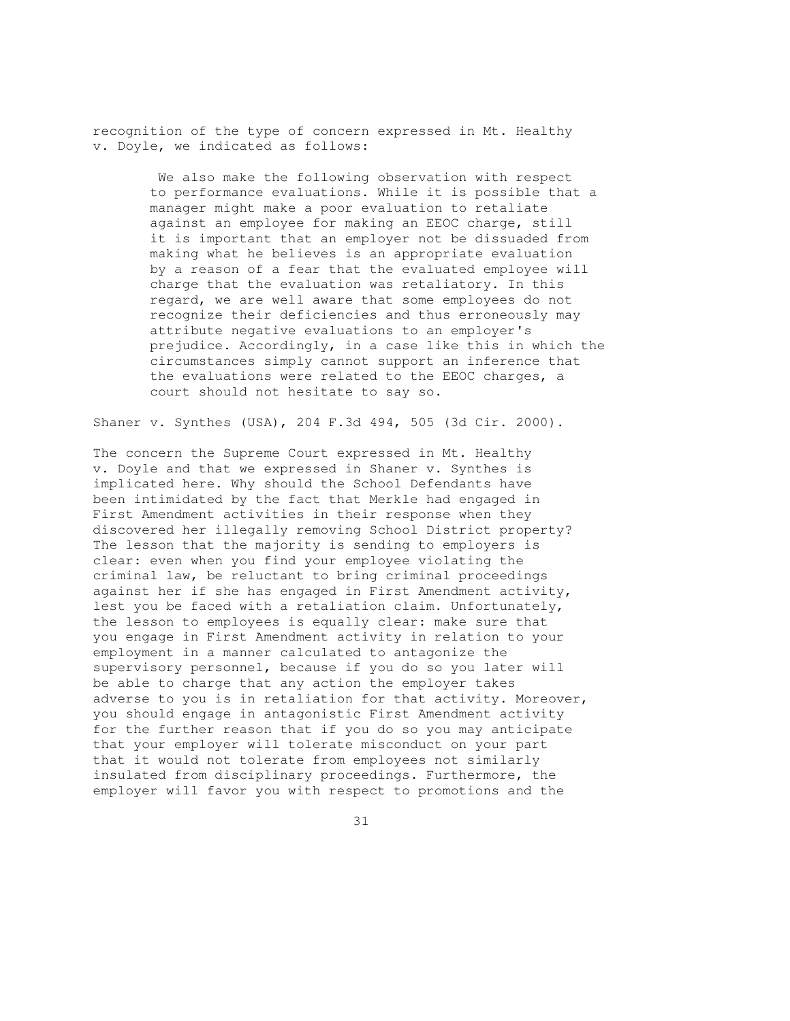recognition of the type of concern expressed in Mt. Healthy v. Doyle, we indicated as follows:

> We also make the following observation with respect to performance evaluations. While it is possible that a manager might make a poor evaluation to retaliate against an employee for making an EEOC charge, still it is important that an employer not be dissuaded from making what he believes is an appropriate evaluation by a reason of a fear that the evaluated employee will charge that the evaluation was retaliatory. In this regard, we are well aware that some employees do not recognize their deficiencies and thus erroneously may attribute negative evaluations to an employer's prejudice. Accordingly, in a case like this in which the circumstances simply cannot support an inference that the evaluations were related to the EEOC charges, a court should not hesitate to say so.

Shaner v. Synthes (USA), 204 F.3d 494, 505 (3d Cir. 2000).

The concern the Supreme Court expressed in Mt. Healthy v. Doyle and that we expressed in Shaner v. Synthes is implicated here. Why should the School Defendants have been intimidated by the fact that Merkle had engaged in First Amendment activities in their response when they discovered her illegally removing School District property? The lesson that the majority is sending to employers is clear: even when you find your employee violating the criminal law, be reluctant to bring criminal proceedings against her if she has engaged in First Amendment activity, lest you be faced with a retaliation claim. Unfortunately, the lesson to employees is equally clear: make sure that you engage in First Amendment activity in relation to your employment in a manner calculated to antagonize the supervisory personnel, because if you do so you later will be able to charge that any action the employer takes adverse to you is in retaliation for that activity. Moreover, you should engage in antagonistic First Amendment activity for the further reason that if you do so you may anticipate that your employer will tolerate misconduct on your part that it would not tolerate from employees not similarly insulated from disciplinary proceedings. Furthermore, the employer will favor you with respect to promotions and the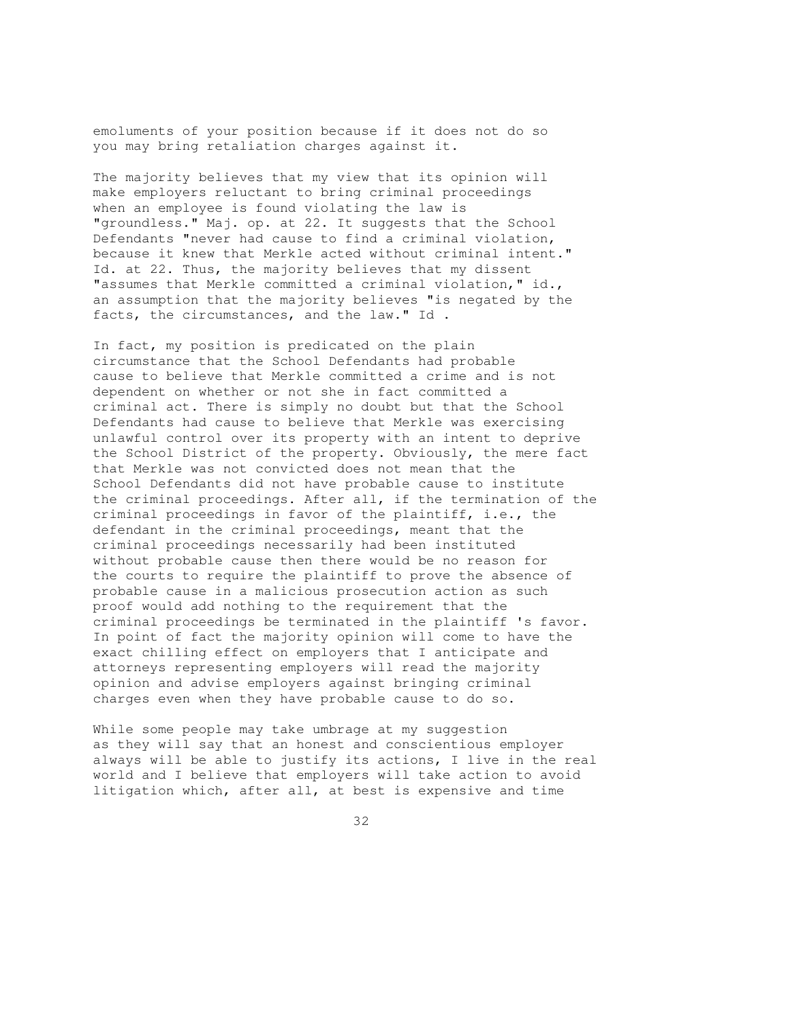emoluments of your position because if it does not do so you may bring retaliation charges against it.

The majority believes that my view that its opinion will make employers reluctant to bring criminal proceedings when an employee is found violating the law is "groundless." Maj. op. at 22. It suggests that the School Defendants "never had cause to find a criminal violation, because it knew that Merkle acted without criminal intent." Id. at 22. Thus, the majority believes that my dissent "assumes that Merkle committed a criminal violation," id., an assumption that the majority believes "is negated by the facts, the circumstances, and the law." Id .

In fact, my position is predicated on the plain circumstance that the School Defendants had probable cause to believe that Merkle committed a crime and is not dependent on whether or not she in fact committed a criminal act. There is simply no doubt but that the School Defendants had cause to believe that Merkle was exercising unlawful control over its property with an intent to deprive the School District of the property. Obviously, the mere fact that Merkle was not convicted does not mean that the School Defendants did not have probable cause to institute the criminal proceedings. After all, if the termination of the criminal proceedings in favor of the plaintiff, i.e., the defendant in the criminal proceedings, meant that the criminal proceedings necessarily had been instituted without probable cause then there would be no reason for the courts to require the plaintiff to prove the absence of probable cause in a malicious prosecution action as such proof would add nothing to the requirement that the criminal proceedings be terminated in the plaintiff 's favor. In point of fact the majority opinion will come to have the exact chilling effect on employers that I anticipate and attorneys representing employers will read the majority opinion and advise employers against bringing criminal charges even when they have probable cause to do so.

While some people may take umbrage at my suggestion as they will say that an honest and conscientious employer always will be able to justify its actions, I live in the real world and I believe that employers will take action to avoid litigation which, after all, at best is expensive and time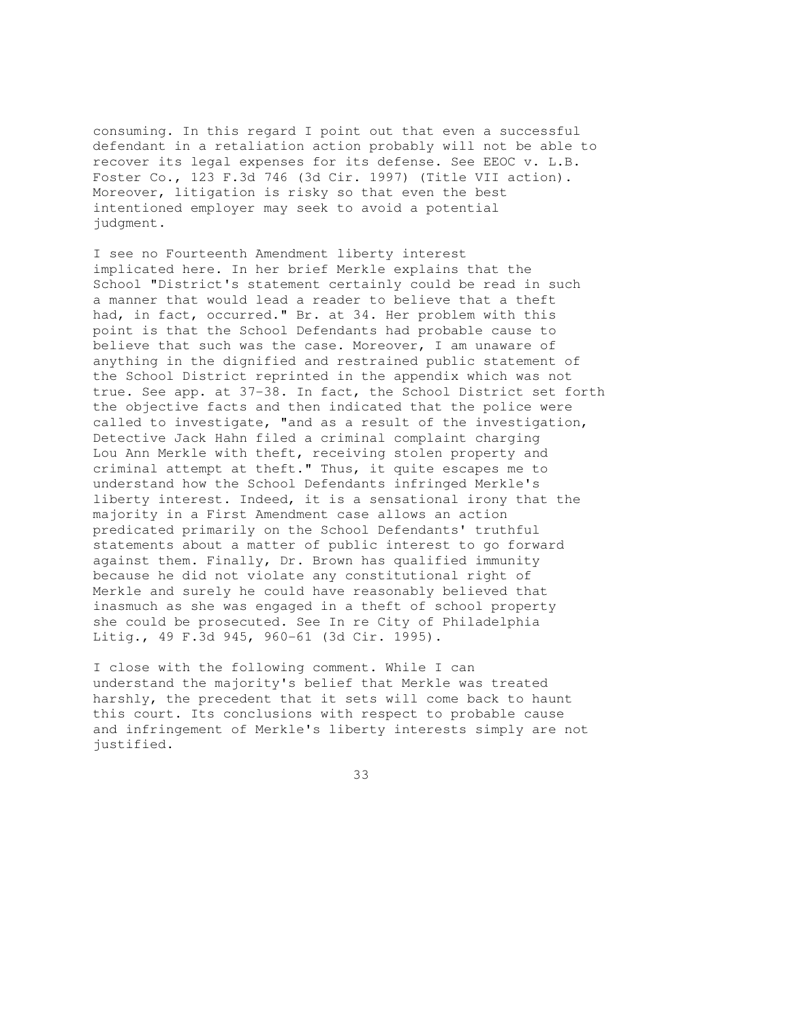consuming. In this regard I point out that even a successful defendant in a retaliation action probably will not be able to recover its legal expenses for its defense. See EEOC v. L.B. Foster Co., 123 F.3d 746 (3d Cir. 1997) (Title VII action). Moreover, litigation is risky so that even the best intentioned employer may seek to avoid a potential judgment.

I see no Fourteenth Amendment liberty interest implicated here. In her brief Merkle explains that the School "District's statement certainly could be read in such a manner that would lead a reader to believe that a theft had, in fact, occurred." Br. at 34. Her problem with this point is that the School Defendants had probable cause to believe that such was the case. Moreover, I am unaware of anything in the dignified and restrained public statement of the School District reprinted in the appendix which was not true. See app. at 37-38. In fact, the School District set forth the objective facts and then indicated that the police were called to investigate, "and as a result of the investigation, Detective Jack Hahn filed a criminal complaint charging Lou Ann Merkle with theft, receiving stolen property and criminal attempt at theft." Thus, it quite escapes me to understand how the School Defendants infringed Merkle's liberty interest. Indeed, it is a sensational irony that the majority in a First Amendment case allows an action predicated primarily on the School Defendants' truthful statements about a matter of public interest to go forward against them. Finally, Dr. Brown has qualified immunity because he did not violate any constitutional right of Merkle and surely he could have reasonably believed that inasmuch as she was engaged in a theft of school property she could be prosecuted. See In re City of Philadelphia Litig., 49 F.3d 945, 960-61 (3d Cir. 1995).

I close with the following comment. While I can understand the majority's belief that Merkle was treated harshly, the precedent that it sets will come back to haunt this court. Its conclusions with respect to probable cause and infringement of Merkle's liberty interests simply are not justified.